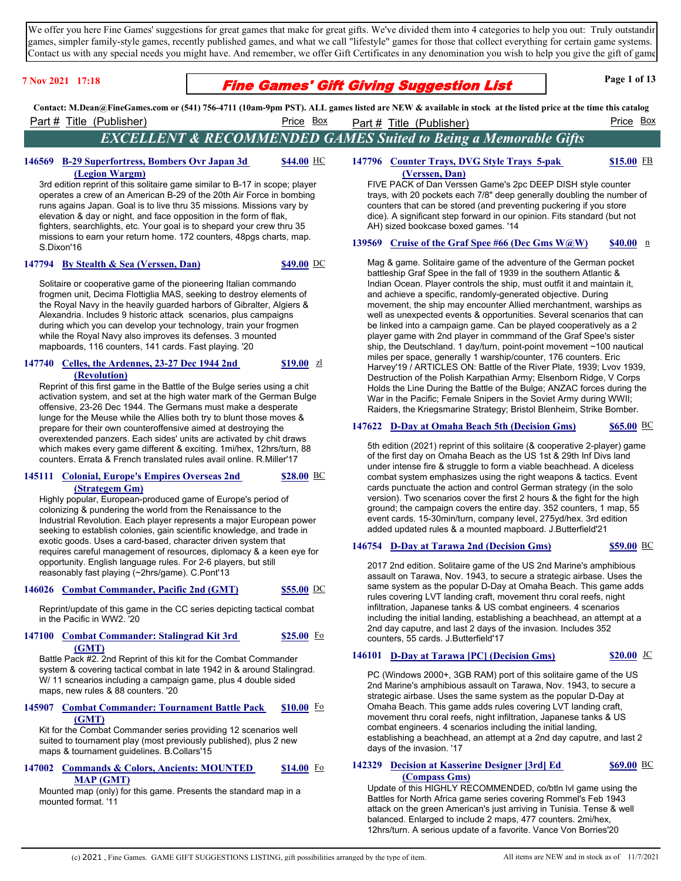We offer you here Fine Games' suggestions for great games that make for great gifts. We've divided them into 4 categories to help you out: Truly outstandin games, simpler family-style games, recently published games, and what we call "lifestyle" games for those that collect everything for certain game systems. Contact us with any special needs you might have. And remember, we offer Gift Certificates in any denomination you wish to help you give the gift of games.

## **Fine Games' Gift Giving Suggestion List** Page 1 of 13

**Contact: M.Dean@FineGames.com or (541) 756-4711 (10am-9pm PST). ALL games listed are NEW & available in stock at the listed price at the time this catalog**  Part # Title (Publisher) Price Box Part # Title (Publisher) Price Box Part # Title (Publisher)

*EXCELLENT & RECOMMENDED GAMES Suited to Being a Memorable Gifts*

#### 146569 **B-29 Superfortress, Bombers Ovr Japan 3d (Legion Wargm) \$44.00**

3rd edition reprint of this solitaire game similar to B-17 in scope; player operates a crew of an American B-29 of the 20th Air Force in bombing runs agains Japan. Goal is to live thru 35 missions. Missions vary by elevation & day or night, and face opposition in the form of flak, fighters, searchlights, etc. Your goal is to shepard your crew thru 35 missions to earn your return home. 172 counters, 48pgs charts, map. S.Dixon'16

### **147794 By Stealth & Sea (Verssen, Dan) \$49.00** DC

Solitaire or cooperative game of the pioneering Italian commando frogmen unit, Decima Flottiglia MAS, seeking to destroy elements of the Royal Navy in the heavily guarded harbors of Gibralter, Algiers & Alexandria. Includes 9 historic attack scenarios, plus campaigns during which you can develop your technology, train your frogmen while the Royal Navy also improves its defenses. 3 mounted mapboards, 116 counters, 141 cards. Fast playing. '20

#### **147740** Celles, the Ardennes, 23-27 Dec 1944 2nd **(Revolution) \$19.00**

Reprint of this first game in the Battle of the Bulge series using a chit activation system, and set at the high water mark of the German Bulge offensive, 23-26 Dec 1944. The Germans must make a desperate lunge for the Meuse while the Allies both try to blunt those moves & prepare for their own counteroffensive aimed at destroying the overextended panzers. Each sides' units are activated by chit draws which makes every game different & exciting. 1mi/hex, 12hrs/turn, 88 counters. Errata & French translated rules avail online. R.Miller'17

#### 145111 **Colonial, Europe's Empires Overseas 2nd (Strategem Gm) \$28.00**

Highly popular, European-produced game of Europe's period of colonizing & pundering the world from the Renaissance to the Industrial Revolution. Each player represents a major European power seeking to establish colonies, gain scientific knowledge, and trade in exotic goods. Uses a card-based, character driven system that requires careful management of resources, diplomacy & a keen eye for opportunity. English language rules. For 2-6 players, but still reasonably fast playing (~2hrs/game). C.Pont'13

 **146026 Combat Commander, Pacific 2nd (GMT) \$55.00** DC

Reprint/update of this game in the CC series depicting tactical combat in the Pacific in WW2. '20

#### **147100** Combat Commander: Stalingrad Kit 3rd **(GMT) \$25.00**

Battle Pack #2. 2nd Reprint of this kit for the Combat Commander system & covering tactical combat in late 1942 in & around Stalingrad. W/ 11 scnearios including a campaign game, plus 4 double sided maps, new rules & 88 counters. '20

#### **145907 Combat Commander: Tournament Battle Pack (GMT) \$10.00**

Kit for the Combat Commander series providing 12 scenarios well suited to tournament play (most previously published), plus 2 new maps & tournament guidelines. B.Collars'15

#### 147002 Commands & Colors, Ancients: MOUNTED **MAP (GMT) \$14.00**

Mounted map (only) for this game. Presents the standard map in a mounted format. '11

#### **147796 Counter Trays, DVG Style Trays 5-pak (Verssen, Dan) \$15.00**

FIVE PACK of Dan Verssen Game's 2pc DEEP DISH style counter trays, with 20 pockets each 7/8" deep generally doubling the number of counters that can be stored (and preventing puckering if you store dice). A significant step forward in our opinion. Fits standard (but not AH) sized bookcase boxed games. '14

### **139569** Cruise of the Graf Spee #66 (Dec Gms W@W) \$40.00 n

Mag & game. Solitaire game of the adventure of the German pocket battleship Graf Spee in the fall of 1939 in the southern Atlantic & Indian Ocean. Player controls the ship, must outfit it and maintain it, and achieve a specific, randomly-generated objective. During movement, the ship may encounter Allied merchantment, warships as well as unexpected events & opportunities. Several scenarios that can be linked into a campaign game. Can be played cooperatively as a 2 player game with 2nd player in commmand of the Graf Spee's sister ship, the Deutschland. 1 day/turn, point-point movement ~100 nautical miles per space, generally 1 warship/counter, 176 counters. Eric Harvey'19 / ARTICLES ON: Battle of the River Plate, 1939; Lvov 1939, Destruction of the Polish Karpathian Army; Elsenborn Ridge, V Corps Holds the Line During the Battle of the Bulge; ANZAC forces during the War in the Pacific; Female Snipers in the Soviet Army during WWII; Raiders, the Kriegsmarine Strategy; Bristol Blenheim, Strike Bomber.

## **147622 D-Day at Omaha Beach 5th (Decision Gms) \$65.00** BC

5th edition (2021) reprint of this solitaire (& cooperative 2-player) game of the first day on Omaha Beach as the US 1st & 29th Inf Divs land under intense fire & struggle to form a viable beachhead. A diceless combat system emphasizes using the right weapons & tactics. Event cards punctuate the action and control German strategy (in the solo version). Two scenarios cover the first 2 hours & the fight for the high ground; the campaign covers the entire day. 352 counters, 1 map, 55 event cards. 15-30min/turn, company level, 275yd/hex. 3rd edition added updated rules & a mounted mapboard. J.Butterfield'21

### **146754 D-Day at Tarawa 2nd (Decision Gms) \$59.00** BC

2017 2nd edition. Solitaire game of the US 2nd Marine's amphibious assault on Tarawa, Nov. 1943, to secure a strategic airbase. Uses the same system as the popular D-Day at Omaha Beach. This game adds rules covering LVT landing craft, movement thru coral reefs, night infiltration, Japanese tanks & US combat engineers. 4 scenarios including the initial landing, establishing a beachhead, an attempt at a 2nd day caputre, and last 2 days of the invasion. Includes 352 counters, 55 cards. J.Butterfield'17

## **146101 D-Day at Tarawa [PC] (Decision Gms) \$20.00** JC

PC (Windows 2000+, 3GB RAM) port of this solitaire game of the US 2nd Marine's amphibious assault on Tarawa, Nov. 1943, to secure a strategic airbase. Uses the same system as the popular D-Day at Omaha Beach. This game adds rules covering LVT landing craft, movement thru coral reefs, night infiltration, Japanese tanks & US combat engineers. 4 scenarios including the initial landing, establishing a beachhead, an attempt at a 2nd day caputre, and last 2 days of the invasion. '17

### **142329 Decision at Kasserine Designer [3rd] Ed (Compass Gms)**

**\$69.00**

Update of this HIGHLY RECOMMENDED, co/btln lvl game using the Battles for North Africa game series covering Rommel's Feb 1943 attack on the green American's just arriving in Tunisia. Tense & well balanced. Enlarged to include 2 maps, 477 counters. 2mi/hex, 12hrs/turn. A serious update of a favorite. Vance Von Borries'20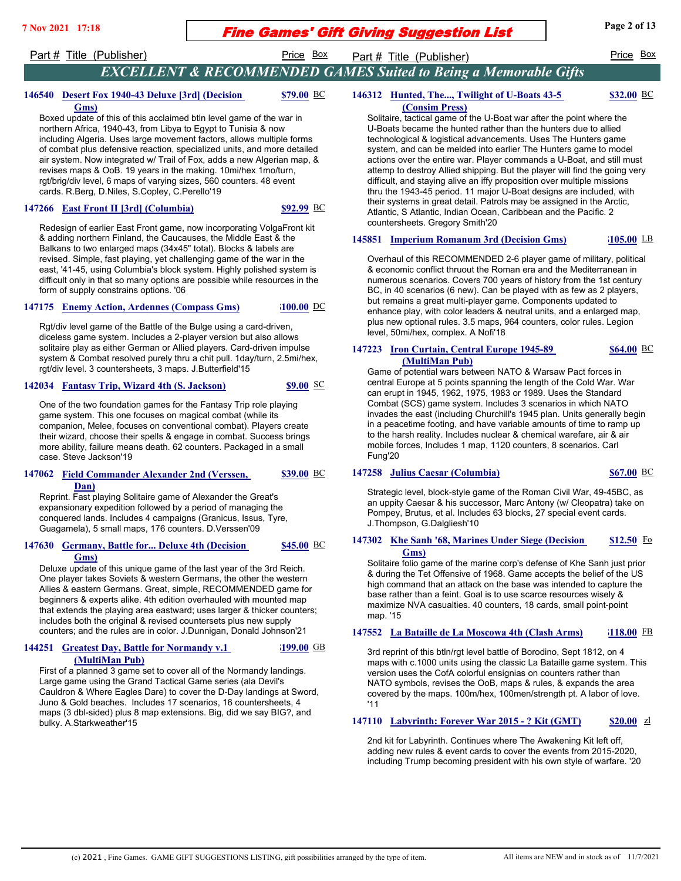## **Fine Games' Gift Giving Suggestion List** Page 2 of 13

## Part # Title (Publisher) **Price Box** Part # Title (Publisher) Price Box

# *EXCELLENT & RECOMMENDED GAMES Suited to Being a Memorable Gifts*

146312 **Hunted, The..., Twilight of U-Boats 43-5 (Consim Press)**

#### **\$32.00**

**Gms)** Boxed update of this of this acclaimed btln level game of the war in northern Africa, 1940-43, from Libya to Egypt to Tunisia & now including Algeria. Uses large movement factors, allows multiple forms of combat plus defensive reaction, specialized units, and more detailed air system. Now integrated w/ Trail of Fox, adds a new Algerian map, & revises maps & OoB. 19 years in the making. 10mi/hex 1mo/turn, rgt/brig/div level, 6 maps of varying sizes, 560 counters. 48 event cards. R.Berg, D.Niles, S.Copley, C.Perello'19

### **147266 East Front II [3rd] (Columbia) \$92.99** BC

**\$79.00**

Redesign of earlier East Front game, now incorporating VolgaFront kit & adding northern Finland, the Caucauses, the Middle East & the Balkans to two enlarged maps (34x45" total). Blocks & labels are revised. Simple, fast playing, yet challenging game of the war in the east, '41-45, using Columbia's block system. Highly polished system is difficult only in that so many options are possible while resources in the form of supply constrains options. '06

### **147175 Enemy Action, Ardennes (Compass Gms) \$100.00** DC

**146540 Desert Fox 1940-43 Deluxe [3rd] (Decision** 

Rgt/div level game of the Battle of the Bulge using a card-driven, diceless game system. Includes a 2-player version but also allows solitaire play as either German or Allied players. Card-driven impulse system & Combat resolved purely thru a chit pull. 1day/turn, 2.5mi/hex, rgt/div level. 3 countersheets, 3 maps. J.Butterfield'15

### **142034 Fantasy Trip, Wizard 4th (S. Jackson) \$9.00** SC

One of the two foundation games for the Fantasy Trip role playing game system. This one focuses on magical combat (while its companion, Melee, focuses on conventional combat). Players create their wizard, choose their spells & engage in combat. Success brings more ability, failure means death. 62 counters. Packaged in a small case. Steve Jackson'19

#### 147062 Field Commander Alexander 2nd (Verssen, **Dan) \$39.00**

Reprint. Fast playing Solitaire game of Alexander the Great's expansionary expedition followed by a period of managing the conquered lands. Includes 4 campaigns (Granicus, Issus, Tyre, Guagamela), 5 small maps, 176 counters. D.Verssen'09

#### 147630 **Germany, Battle for... Deluxe 4th (Decision Gms) \$45.00**

Deluxe update of this unique game of the last year of the 3rd Reich. One player takes Soviets & western Germans, the other the western Allies & eastern Germans. Great, simple, RECOMMENDED game for beginners & experts alike. 4th edition overhauled with mounted map that extends the playing area eastward; uses larger & thicker counters; includes both the original & revised countersets plus new supply counters; and the rules are in color. J.Dunnigan, Donald Johnson'21

#### **144251 Greatest Day, Battle for Normandy v.1 (MultiMan Pub) \$199.00**

First of a planned 3 game set to cover all of the Normandy landings. Large game using the Grand Tactical Game series (ala Devil's Cauldron & Where Eagles Dare) to cover the D-Day landings at Sword, Juno & Gold beaches. Includes 17 scenarios, 16 countersheets, 4 maps (3 dbl-sided) plus 8 map extensions. Big, did we say BIG?, and bulky. A.Starkweather'15

Solitaire, tactical game of the U-Boat war after the point where the U-Boats became the hunted rather than the hunters due to allied technological & logistical advancements. Uses The Hunters game system, and can be melded into earlier The Hunters game to model actions over the entire war. Player commands a U-Boat, and still must attemp to destroy Allied shipping. But the player will find the going very difficult, and staying alive an iffy proposition over multiple missions thru the 1943-45 period. 11 major U-Boat designs are included, with their systems in great detail. Patrols may be assigned in the Arctic, Atlantic, S Atlantic, Indian Ocean, Caribbean and the Pacific. 2 countersheets. Gregory Smith'20

### **145851 Imperium Romanum 3rd (Decision Gms) \$105.00** LB

Overhaul of this RECOMMENDED 2-6 player game of military, political & economic conflict thruout the Roman era and the Mediterranean in numerous scenarios. Covers 700 years of history from the 1st century BC, in 40 scenarios (6 new). Can be played with as few as 2 players, but remains a great multi-player game. Components updated to enhance play, with color leaders & neutral units, and a enlarged map, plus new optional rules. 3.5 maps, 964 counters, color rules. Legion level, 50mi/hex, complex. A Nofi'18

#### 147223 **Iron Curtain, Central Europe 1945-89 (MultiMan Pub) \$64.00**

Game of potential wars between NATO & Warsaw Pact forces in central Europe at 5 points spanning the length of the Cold War. War can erupt in 1945, 1962, 1975, 1983 or 1989. Uses the Standard Combat (SCS) game system. Includes 3 scenarios in which NATO invades the east (including Churchill's 1945 plan. Units generally begin in a peacetime footing, and have variable amounts of time to ramp up to the harsh reality. Includes nuclear & chemical warefare, air & air mobile forces, Includes 1 map, 1120 counters, 8 scenarios. Carl Fung'20

### **147258 Julius Caesar (Columbia) \$67.00** BC

Strategic level, block-style game of the Roman Civil War, 49-45BC, as an uppity Caesar & his successor, Marc Antony (w/ Cleopatra) take on Pompey, Brutus, et al. Includes 63 blocks, 27 special event cards. J.Thompson, G.Dalgliesh'10

#### 147302 **Khe Sanh '68, Marines Under Siege (Decision Gms) \$12.50**

Solitaire folio game of the marine corp's defense of Khe Sanh just prior & during the Tet Offensive of 1968. Game accepts the belief of the US high command that an attack on the base was intended to capture the base rather than a feint. Goal is to use scarce resources wisely & maximize NVA casualties. 40 counters, 18 cards, small point-point map. '15

### **147552 La Bataille de La Moscowa 4th (Clash Arms) \$118.00** FB

3rd reprint of this btln/rgt level battle of Borodino, Sept 1812, on 4 maps with c.1000 units using the classic La Bataille game system. This version uses the CofA colorful ensignias on counters rather than NATO symbols, revises the OoB, maps & rules, & expands the area covered by the maps. 100m/hex, 100men/strength pt. A labor of love. '11

### **147110 Labyrinth: Forever War 2015 - ? Kit (GMT) \$20.00** zl

2nd kit for Labyrinth. Continues where The Awakening Kit left off, adding new rules & event cards to cover the events from 2015-2020, including Trump becoming president with his own style of warfare. '20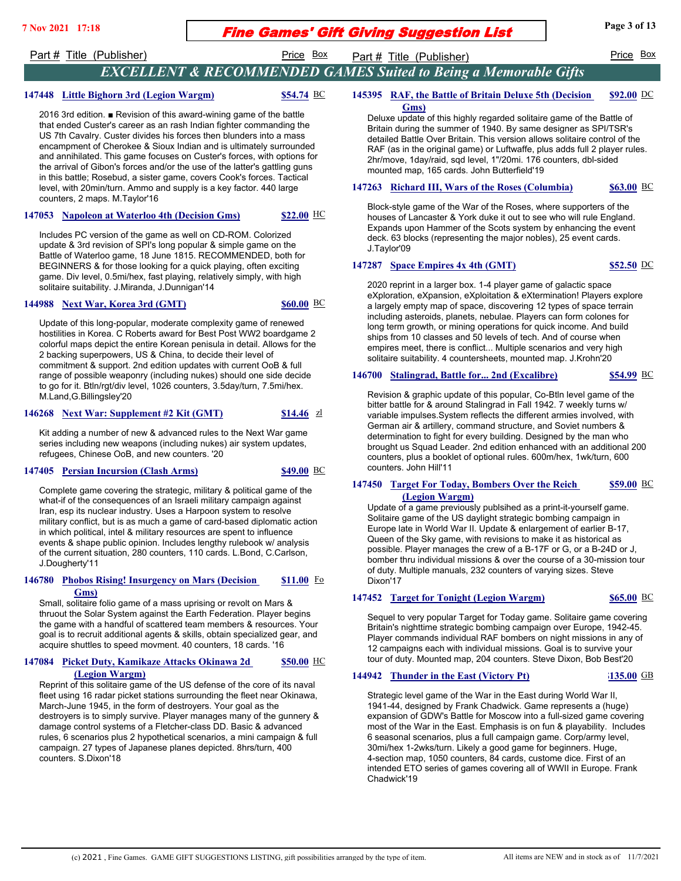# **Fine Games' Gift Giving Suggestion List** Page 3 of 13

Part # Title (Publisher) **Price Box** Part # Title (Publisher) Price Box

## *EXCELLENT & RECOMMENDED GAMES Suited to Being a Memorable Gifts*

### **147448 Little Bighorn 3rd (Legion Wargm) \$54.74** BC

2016 3rd edition. ■ Revision of this award-wining game of the battle that ended Custer's career as an rash Indian fighter commanding the US 7th Cavalry. Custer divides his forces then blunders into a mass encampment of Cherokee & Sioux Indian and is ultimately surrounded and annihilated. This game focuses on Custer's forces, with options for the arrival of Gibon's forces and/or the use of the latter's gattling guns in this battle; Rosebud, a sister game, covers Cook's forces. Tactical level, with 20min/turn. Ammo and supply is a key factor. 440 large counters, 2 maps. M.Taylor'16

### **147053 Napoleon at Waterloo 4th (Decision Gms) \$22.00** HC

Includes PC version of the game as well on CD-ROM. Colorized update & 3rd revision of SPI's long popular & simple game on the Battle of Waterloo game, 18 June 1815. RECOMMENDED, both for BEGINNERS & for those looking for a quick playing, often exciting game. Div level, 0.5mi/hex, fast playing, relatively simply, with high solitaire suitability. J.Miranda, J.Dunnigan'14

### **144988 Next War, Korea 3rd (GMT) \$60.00** BC

Update of this long-popular, moderate complexity game of renewed hostilities in Korea. C Roberts award for Best Post WW2 boardgame 2 colorful maps depict the entire Korean penisula in detail. Allows for the 2 backing superpowers, US & China, to decide their level of commitment & support. 2nd edition updates with current OoB & full range of possible weaponry (including nukes) should one side decide

to go for it. Btln/rgt/div level, 1026 counters, 3.5day/turn, 7.5mi/hex. M.Land,G.Billingsley'20

### **146268 Next War: Supplement #2 Kit (GMT) \$14.46** zl

Kit adding a number of new & advanced rules to the Next War game series including new weapons (including nukes) air system updates, refugees, Chinese OoB, and new counters. '20

### **147405 Persian Incursion (Clash Arms) \$49.00** BC

Complete game covering the strategic, military & political game of the what-if of the consequences of an Israeli military campaign against Iran, esp its nuclear industry. Uses a Harpoon system to resolve military conflict, but is as much a game of card-based diplomatic action in which political, intel & military resources are spent to influence events & shape public opinion. Includes lengthy rulebook w/ analysis of the current situation, 280 counters, 110 cards. L.Bond, C.Carlson, J.Dougherty'11

#### **146780 Phobos Rising! Insurgency on Mars (Decision Gms) \$11.00**

Small, solitaire folio game of a mass uprising or revolt on Mars & thruout the Solar System against the Earth Federation. Player begins the game with a handful of scattered team members & resources. Your goal is to recruit additional agents & skills, obtain specialized gear, and acquire shuttles to speed movment. 40 counters, 18 cards. '16

#### **147084 Picket Duty, Kamikaze Attacks Okinawa 2d (Legion Wargm) \$50.00**

Reprint of this solitaire game of the US defense of the core of its naval fleet using 16 radar picket stations surrounding the fleet near Okinawa, March-June 1945, in the form of destroyers. Your goal as the destroyers is to simply survive. Player manages many of the gunnery & damage control systems of a Fletcher-class DD. Basic & advanced rules, 6 scenarios plus 2 hypothetical scenarios, a mini campaign & full campaign. 27 types of Japanese planes depicted. 8hrs/turn, 400 counters. S.Dixon'18

#### **145395 RAF, the Battle of Britain Deluxe 5th (Decision Gms) \$92.00**

Deluxe update of this highly regarded solitaire game of the Battle of Britain during the summer of 1940. By same designer as SPI/TSR's detailed Battle Over Britain. This version allows solitaire control of the RAF (as in the original game) or Luftwaffe, plus adds full 2 player rules. 2hr/move, 1day/raid, sqd level, 1"/20mi. 176 counters, dbl-sided mounted map, 165 cards. John Butterfield'19

### **147263 Richard III, Wars of the Roses (Columbia) \$63.00** BC

Block-style game of the War of the Roses, where supporters of the houses of Lancaster & York duke it out to see who will rule England. Expands upon Hammer of the Scots system by enhancing the event deck. 63 blocks (representing the major nobles), 25 event cards. J.Taylor'09

### **147287 Space Empires 4x 4th (GMT) \$52.50** DC

2020 reprint in a larger box. 1-4 player game of galactic space eXploration, eXpansion, eXploitation & eXtermination! Players explore a largely empty map of space, discovering 12 types of space terrain including asteroids, planets, nebulae. Players can form colones for long term growth, or mining operations for quick income. And build ships from 10 classes and 50 levels of tech. And of course when empires meet, there is conflict... Multiple scenarios and very high solitaire suitability. 4 countersheets, mounted map. J.Krohn'20

### **146700 Stalingrad, Battle for... 2nd (Excalibre) \$54.99** BC

Revision & graphic update of this popular, Co-Btln level game of the bitter battle for & around Stalingrad in Fall 1942. 7 weekly turns w/ variable impulses.System reflects the different armies involved, with German air & artillery, command structure, and Soviet numbers & determination to fight for every building. Designed by the man who brought us Squad Leader. 2nd edition enhanced with an additional 200 counters, plus a booklet of optional rules. 600m/hex, 1wk/turn, 600 counters. John Hill'11

#### **147450 Target For Today, Bombers Over the Reich (Legion Wargm) \$59.00**

Update of a game previously publsihed as a print-it-yourself game. Solitaire game of the US daylight strategic bombing campaign in Europe late in World War II. Update & enlargement of earlier B-17, Queen of the Sky game, with revisions to make it as historical as possible. Player manages the crew of a B-17F or G, or a B-24D or J, bomber thru individual missions & over the course of a 30-mission tour of duty. Multiple manuals, 232 counters of varying sizes. Steve Dixon'17

### **147452 Target for Tonight (Legion Wargm) \$65.00** BC

Sequel to very popular Target for Today game. Solitaire game covering Britain's nighttime strategic bombing campaign over Europe, 1942-45. Player commands individual RAF bombers on night missions in any of 12 campaigns each with individual missions. Goal is to survive your tour of duty. Mounted map, 204 counters. Steve Dixon, Bob Best'20

### **144942 Thunder in the East (Victory Pt) \$135.00** GB

Strategic level game of the War in the East during World War II, 1941-44, designed by Frank Chadwick. Game represents a (huge) expansion of GDW's Battle for Moscow into a full-sized game covering most of the War in the East. Emphasis is on fun & playability. Includes 6 seasonal scenarios, plus a full campaign game. Corp/army level, 30mi/hex 1-2wks/turn. Likely a good game for beginners. Huge, 4-section map, 1050 counters, 84 cards, custome dice. First of an intended ETO series of games covering all of WWII in Europe. Frank Chadwick'19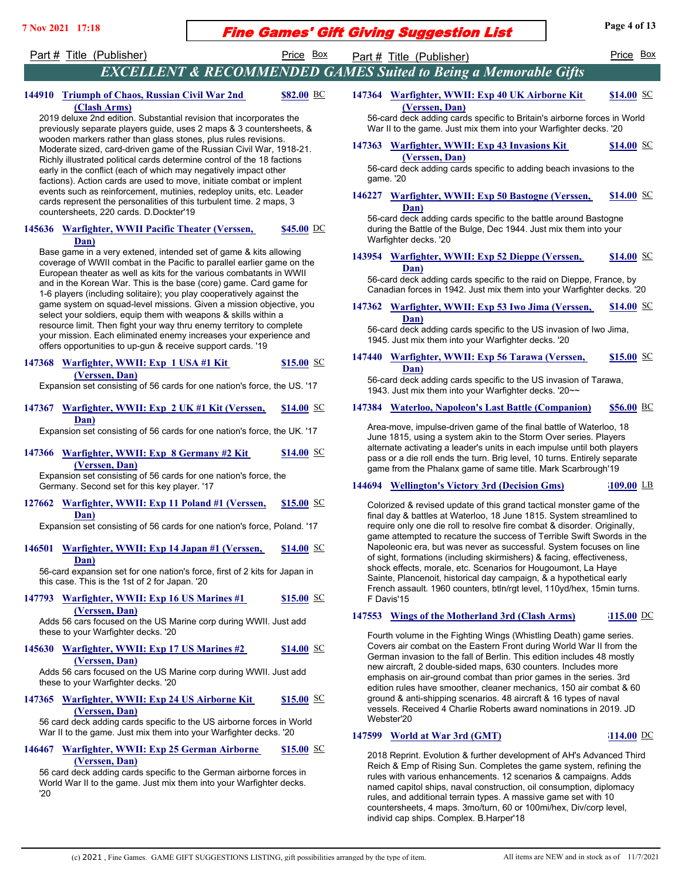# **Fine Games' Gift Giving Suggestion List** Page 4 of 13

Part # Title (Publisher) Price Box Part # Title (Publisher) Price Box Price Box

**(Clash Arms)**

**\$82.00**

*EXCELLENT & RECOMMENDED GAMES Suited to Being a Memorable Gifts* 147364 Warfighter, WWII: Exp 40 UK Airborne Kit **(Verssen, Dan) \$14.00**

56-card deck adding cards specific to Britain's airborne forces in World War II to the game. Just mix them into your Warfighter decks. '20

#### 147363 Warfighter, WWII: Exp 43 Invasions Kit **(Verssen, Dan) \$14.00**

56-card deck adding cards specific to adding beach invasions to the game. '20

#### 146227 Warfighter, WWII: Exp 50 Bastogne (Verssen, **Dan) \$14.00**

56-card deck adding cards specific to the battle around Bastogne during the Battle of the Bulge, Dec 1944. Just mix them into your Warfighter decks. '20

#### 143954 Warfighter, WWII: Exp 52 Dieppe (Verssen, **Dan) \$14.00**

56-card deck adding cards specific to the raid on Dieppe, France, by Canadian forces in 1942. Just mix them into your Warfighter decks. '20

#### **147362** Warfighter, WWII: Exp 53 Iwo Jima (Verssen, **Dan) \$14.00**

56-card deck adding cards specific to the US invasion of Iwo Jima, 1945. Just mix them into your Warfighter decks. '20

#### 147440 Warfighter, WWII: Exp 56 Tarawa (Verssen, **Dan) \$15.00**

56-card deck adding cards specific to the US invasion of Tarawa, 1943. Just mix them into your Warfighter decks. '20~~

### **147384 Waterloo, Napoleon's Last Battle (Companion) \$56.00** BC

Area-move, impulse-driven game of the final battle of Waterloo, 18 June 1815, using a system akin to the Storm Over series. Players alternate activating a leader's units in each impulse until both players pass or a die roll ends the turn. Brig level, 10 turns. Entirely separate game from the Phalanx game of same title. Mark Scarbrough'19

### **144694 Wellington's Victory 3rd (Decision Gms) \$109.00** LB

Colorized & revised update of this grand tactical monster game of the final day & battles at Waterloo, 18 June 1815. System streamlined to require only one die roll to resolve fire combat & disorder. Originally, game attempted to recature the success of Terrible Swift Swords in the Napoleonic era, but was never as successful. System focuses on line of sight, formations (including skirmishers) & facing, effectiveness, shock effects, morale, etc. Scenarios for Hougoumont, La Haye Sainte, Plancenoit, historical day campaign, & a hypothetical early French assault. 1960 counters, btln/rgt level, 110yd/hex, 15min turns. F Davis'15

### **147553 Wings of the Motherland 3rd (Clash Arms) \$115.00** DC

Fourth volume in the Fighting Wings (Whistling Death) game series. Covers air combat on the Eastern Front during World War II from the German invasion to the fall of Berlin. This edition includes 48 mostly new aircraft, 2 double-sided maps, 630 counters. Includes more emphasis on air-ground combat than prior games in the series. 3rd edition rules have smoother, cleaner mechanics, 150 air combat & 60 ground & anti-shipping scenarios. 48 aircraft & 16 types of naval vessels. Received 4 Charlie Roberts award nominations in 2019. JD Webster'20

### **147599 World at War 3rd (GMT) \$114.00** DC

2018 Reprint. Evolution & further development of AH's Advanced Third Reich & Emp of Rising Sun. Completes the game system, refining the rules with various enhancements. 12 scenarios & campaigns. Adds named capitol ships, naval construction, oil consumption, diplomacy rules, and additional terrain types. A massive game set with 10 countersheets, 4 maps. 3mo/turn, 60 or 100mi/hex, Div/corp level, individ cap ships. Complex. B.Harper'18

Moderate sized, card-driven game of the Russian Civil War, 1918-21. Richly illustrated political cards determine control of the 18 factions early in the conflict (each of which may negatively impact other factions). Action cards are used to move, initiate combat or implent events such as reinforcement, mutinies, redeploy units, etc. Leader cards represent the personalities of this turbulent time. 2 maps, 3 countersheets, 220 cards. D.Dockter'19

2019 deluxe 2nd edition. Substantial revision that incorporates the previously separate players guide, uses 2 maps & 3 countersheets, & wooden markers rather than glass stones, plus rules revisions.

144910 **Triumph of Chaos, Russian Civil War 2nd** 

#### **145636**  Warfighter, WWII Pacific Theater (Verssen, **Dan) \$45.00**

Base game in a very extened, intended set of game & kits allowing coverage of WWII combat in the Pacific to parallel earlier game on the European theater as well as kits for the various combatants in WWII and in the Korean War. This is the base (core) game. Card game for 1-6 players (including solitaire); you play cooperatively against the game system on squad-level missions. Given a mission objective, you select your soldiers, equip them with weapons & skills within a resource limit. Then fight your way thru enemy territory to complete your mission. Each eliminated enemy increases your experience and offers opportunities to up-gun & receive support cards. '19

#### **147368 Warfighter, WWII: Exp 1 USA #1 Kit (Verssen, Dan) \$15.00**

Expansion set consisting of 56 cards for one nation's force, the US. '17

#### **147367 Warfighter, WWII: Exp 2 UK #1 Kit (Verssen, Dan) \$14.00**

Expansion set consisting of 56 cards for one nation's force, the UK. '17

 **147366 Warfighter, WWII: Exp 8 Germany #2 Kit (Verssen, Dan) \$14.00**

Expansion set consisting of 56 cards for one nation's force, the Germany. Second set for this key player. '17

#### **127662 Warfighter, WWII: Exp 11 Poland #1 (Verssen, Dan) \$15.00**

Expansion set consisting of 56 cards for one nation's force, Poland. '17

#### **146501 Warfighter, WWII: Exp 14 Japan #1 (Verssen, Dan) \$14.00**

56-card expansion set for one nation's force, first of 2 kits for Japan in this case. This is the 1st of 2 for Japan. '20

**147793 Warfighter, WWII: Exp 16 US Marines #1 (Verssen, Dan) \$15.00**

Adds 56 cars focused on the US Marine corp during WWII. Just add these to your Warfighter decks. '20

#### **145630 Warfighter, WWII: Exp 17 US Marines #2 (Verssen, Dan) \$14.00**

Adds 56 cars focused on the US Marine corp during WWII. Just add these to your Warfighter decks. '20

#### 147365 Warfighter, WWII: Exp 24 US Airborne Kit **(Verssen, Dan) \$15.00**

56 card deck adding cards specific to the US airborne forces in World War II to the game. Just mix them into your Warfighter decks. '20

#### **146467 Warfighter, WWII: Exp 25 German Airborne (Verssen, Dan) \$15.00**

56 card deck adding cards specific to the German airborne forces in World War II to the game. Just mix them into your Warfighter decks. '20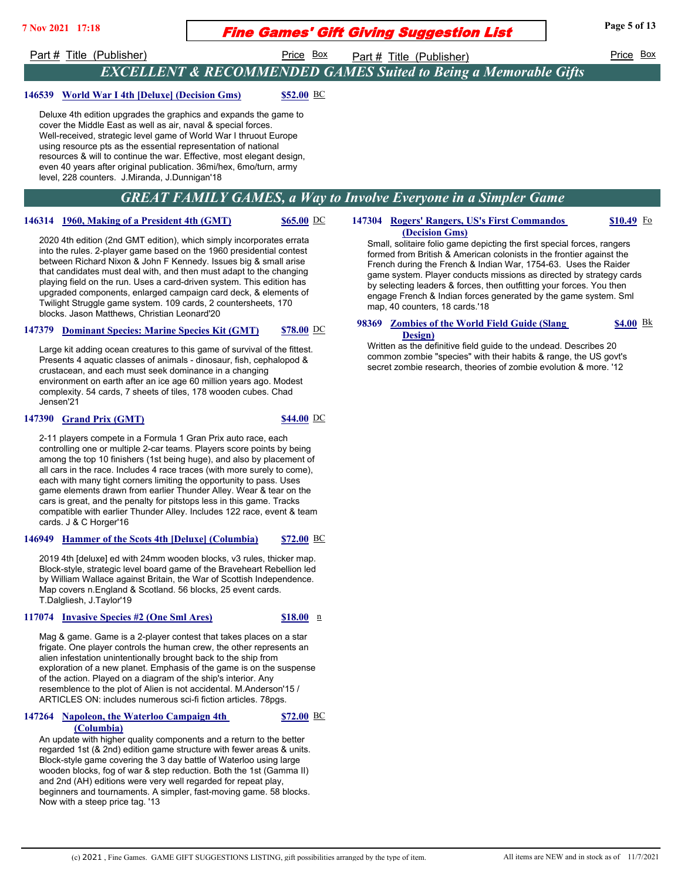# **Fine Games' Gift Giving Suggestion List** Page 5 of 13

Part # Title (Publisher) Price Box Part # Title (Publisher) Price Box Price Box

## *EXCELLENT & RECOMMENDED GAMES Suited to Being a Memorable Gifts*

### **146539 World War I 4th [Deluxe] (Decision Gms) \$52.00** BC

Deluxe 4th edition upgrades the graphics and expands the game to cover the Middle East as well as air, naval & special forces. Well-received, strategic level game of World War I thruout Europe using resource pts as the essential representation of national resources & will to continue the war. Effective, most elegant design, even 40 years after original publication. 36mi/hex, 6mo/turn, army level, 228 counters. J.Miranda, J.Dunnigan'18

## *GREAT FAMILY GAMES, a Way to Involve Everyone in a Simpler Game*

### **146314 1960, Making of a President 4th (GMT)** \$65.00 DC

2020 4th edition (2nd GMT edition), which simply incorporates errata into the rules. 2-player game based on the 1960 presidential contest between Richard Nixon & John F Kennedy. Issues big & small arise that candidates must deal with, and then must adapt to the changing playing field on the run. Uses a card-driven system. This edition has upgraded components, enlarged campaign card deck, & elements of Twilight Struggle game system. 109 cards, 2 countersheets, 170 blocks. Jason Matthews, Christian Leonard'20

### **147379 Dominant Species: Marine Species Kit (GMT) \$78.00** DC

Large kit adding ocean creatures to this game of survival of the fittest. Presents 4 aquatic classes of animals - dinosaur, fish, cephalopod & crustacean, and each must seek dominance in a changing environment on earth after an ice age 60 million years ago. Modest complexity. 54 cards, 7 sheets of tiles, 178 wooden cubes. Chad Jensen'21

### **147390 Grand Prix (GMT) \$44.00** DC

2-11 players compete in a Formula 1 Gran Prix auto race, each controlling one or multiple 2-car teams. Players score points by being among the top 10 finishers (1st being huge), and also by placement of all cars in the race. Includes 4 race traces (with more surely to come), each with many tight corners limiting the opportunity to pass. Uses game elements drawn from earlier Thunder Alley. Wear & tear on the cars is great, and the penalty for pitstops less in this game. Tracks compatible with earlier Thunder Alley. Includes 122 race, event & team cards. J & C Horger'16

### **146949 Hammer of the Scots 4th [Deluxe] (Columbia) \$72.00** BC

2019 4th [deluxe] ed with 24mm wooden blocks, v3 rules, thicker map. Block-style, strategic level board game of the Braveheart Rebellion led by William Wallace against Britain, the War of Scottish Independence. Map covers n.England & Scotland. 56 blocks, 25 event cards. T.Dalgliesh, J.Taylor'19

### **117074 Invasive Species #2 (One Sml Ares) \$18.00** n

**\$72.00**

Mag & game. Game is a 2-player contest that takes places on a star frigate. One player controls the human crew, the other represents an alien infestation unintentionally brought back to the ship from exploration of a new planet. Emphasis of the game is on the suspense of the action. Played on a diagram of the ship's interior. Any resemblence to the plot of Alien is not accidental. M.Anderson'15 / ARTICLES ON: includes numerous sci-fi fiction articles. 78pgs.

### **147264 Napoleon, the Waterloo Campaign 4th (Columbia)**

An update with higher quality components and a return to the better regarded 1st (& 2nd) edition game structure with fewer areas & units. Block-style game covering the 3 day battle of Waterloo using large wooden blocks, fog of war & step reduction. Both the 1st (Gamma II) and 2nd (AH) editions were very well regarded for repeat play, beginners and tournaments. A simpler, fast-moving game. 58 blocks. Now with a steep price tag. '13

#### 147304 Rogers' Rangers, US's First Commandos **(Decision Gms) \$10.49**

Small, solitaire folio game depicting the first special forces, rangers formed from British & American colonists in the frontier against the French during the French & Indian War, 1754-63. Uses the Raider game system. Player conducts missions as directed by strategy cards by selecting leaders & forces, then outfitting your forces. You then engage French & Indian forces generated by the game system. Sml map, 40 counters, 18 cards.'18

#### **98369 Zombies of the World Field Guide (Slang Design) \$4.00**

Written as the definitive field guide to the undead. Describes 20 common zombie "species" with their habits & range, the US govt's secret zombie research, theories of zombie evolution & more. '12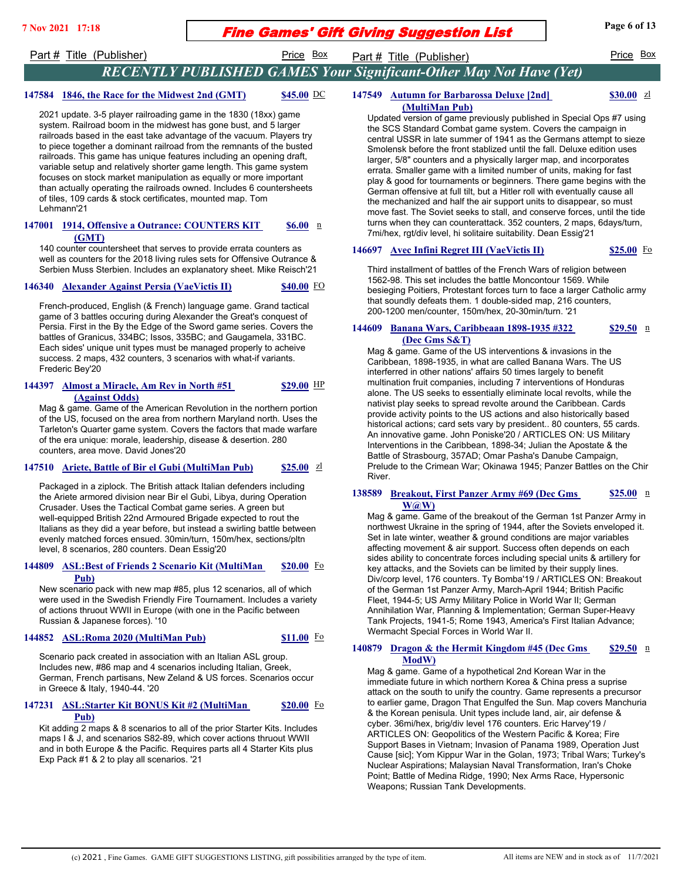# **Fine Games' Gift Giving Suggestion List** Page 6 of 13

**\$30.00**

Part # Title (Publisher) Price Box Part # Title (Publisher) Price Box Price Box

## *RECENTLY PUBLISHED GAMES Your Significant-Other May Not Have (Yet)*

### **147584 1846, the Race for the Midwest 2nd (GMT) \$45.00** DC

2021 update. 3-5 player railroading game in the 1830 (18xx) game system. Railroad boom in the midwest has gone bust, and 5 larger railroads based in the east take advantage of the vacuum. Players try to piece together a dominant railroad from the remnants of the busted railroads. This game has unique features including an opening draft, variable setup and relatively shorter game length. This game system focuses on stock market manipulation as equally or more important than actually operating the railroads owned. Includes 6 countersheets of tiles, 109 cards & stock certificates, mounted map. Tom Lehmann'21

#### **147001 1914, Offensive a Outrance: COUNTERS KIT (GMT) \$6.00**

140 counter countersheet that serves to provide errata counters as well as counters for the 2018 living rules sets for Offensive Outrance & Serbien Muss Sterbien. Includes an explanatory sheet. Mike Reisch'21

### **146340 Alexander Against Persia (VaeVictis II) \$40.00** FO

French-produced, English (& French) language game. Grand tactical game of 3 battles occuring during Alexander the Great's conquest of Persia. First in the By the Edge of the Sword game series. Covers the battles of Granicus, 334BC; Issos, 335BC; and Gaugamela, 331BC. Each sides' unique unit types must be managed properly to acheive success. 2 maps, 432 counters, 3 scenarios with what-if variants. Frederic Bey'20

#### **144397 Almost a Miracle, Am Rev in North #51 (Against Odds) \$29.00**

Mag & game. Game of the American Revolution in the northern portion of the US, focused on the area from northern Maryland north. Uses the Tarleton's Quarter game system. Covers the factors that made warfare of the era unique: morale, leadership, disease & desertion. 280 counters, area move. David Jones'20

### **147510 Ariete, Battle of Bir el Gubi (MultiMan Pub) \$25.00** zl

Packaged in a ziplock. The British attack Italian defenders including the Ariete armored division near Bir el Gubi, Libya, during Operation Crusader. Uses the Tactical Combat game series. A green but well-equipped British 22nd Armoured Brigade expected to rout the Italians as they did a year before, but instead a swirling battle between evenly matched forces ensued. 30min/turn, 150m/hex, sections/pltn level, 8 scenarios, 280 counters. Dean Essig'20

#### 144809 ASL: Best of Friends 2 Scenario Kit (MultiMan **Pub) \$20.00**

New scenario pack with new map #85, plus 12 scenarios, all of which were used in the Swedish Friendly Fire Tournament. Includes a variety of actions thruout WWII in Europe (with one in the Pacific between Russian & Japanese forces). '10

### **144852 ASL:Roma 2020 (MultiMan Pub) \$11.00** Fo

**\$20.00**

Scenario pack created in association with an Italian ASL group. Includes new, #86 map and 4 scenarios including Italian, Greek, German, French partisans, New Zeland & US forces. Scenarios occur in Greece & Italy, 1940-44. '20

### **147231 ASL:Starter Kit BONUS Kit #2 (MultiMan**

#### **Pub)**

Kit adding 2 maps & 8 scenarios to all of the prior Starter Kits. Includes maps I & J, and scenarios S82-89, which cover actions thruout WWII and in both Europe & the Pacific. Requires parts all 4 Starter Kits plus Exp Pack #1 & 2 to play all scenarios. '21

### **147549 <u>Autumn for Barbarossa Deluxe [2nd]</u> (MultiMan Pub)**

Updated version of game previously published in Special Ops #7 using the SCS Standard Combat game system. Covers the campaign in central USSR in late summer of 1941 as the Germans attempt to sieze Smolensk before the front stablized until the fall. Deluxe edition uses larger, 5/8" counters and a physically larger map, and incorporates errata. Smaller game with a limited number of units, making for fast play & good for tournaments or beginners. There game begins with the German offensive at full tilt, but a Hitler roll with eventually cause all the mechanized and half the air support units to disappear, so must move fast. The Soviet seeks to stall, and conserve forces, until the tide turns when they can counterattack. 352 counters, 2 maps, 6days/turn, 7mi/hex, rgt/div level, hi solitaire suitability. Dean Essig'21

### **146697 Avec Infini Regret III (VaeVictis II) \$25.00** For

Third installment of battles of the French Wars of religion between 1562-98. This set includes the battle Moncontour 1569. While besieging Poitiers, Protestant forces turn to face a larger Catholic army that soundly defeats them. 1 double-sided map, 216 counters, 200-1200 men/counter, 150m/hex, 20-30min/turn. '21

#### **144609 Banana Wars, Caribbeaan 1898-1935 #322** n **(Dec Gms S&T) \$29.50**

Mag & game. Game of the US interventions & invasions in the Caribbean, 1898-1935, in what are called Banana Wars. The US interferred in other nations' affairs 50 times largely to benefit multination fruit companies, including 7 interventions of Honduras alone. The US seeks to essentially eliminate local revolts, while the nativist play seeks to spread revolte around the Caribbean. Cards provide activity points to the US actions and also historically based historical actions; card sets vary by president.. 80 counters, 55 cards. An innovative game. John Poniske'20 / ARTICLES ON: US Military Interventions in the Caribbean, 1898-34; Julian the Apostate & the Battle of Strasbourg, 357AD; Omar Pasha's Danube Campaign, Prelude to the Crimean War; Okinawa 1945; Panzer Battles on the Chir River.

#### **138589 Breakout, First Panzer Army #69 (Dec Gms W@W) \$25.00**

Mag & game. Game of the breakout of the German 1st Panzer Army in northwest Ukraine in the spring of 1944, after the Soviets enveloped it. Set in late winter, weather & ground conditions are major variables affecting movement & air support. Success often depends on each sides ability to concentrate forces including special units & artillery for key attacks, and the Soviets can be limited by their supply lines. Div/corp level, 176 counters. Ty Bomba'19 / ARTICLES ON: Breakout of the German 1st Panzer Army, March-April 1944; British Pacific Fleet, 1944-5; US Army Military Police in World War II; German Annihilation War, Planning & Implementation; German Super-Heavy Tank Projects, 1941-5; Rome 1943, America's First Italian Advance; Wermacht Special Forces in World War II.

#### **140879 Dragon & the Hermit Kingdom #45 (Dec Gms**) **ModW) \$29.50**

Mag & game. Game of a hypothetical 2nd Korean War in the immediate future in which northern Korea & China press a suprise attack on the south to unify the country. Game represents a precursor to earlier game, Dragon That Engulfed the Sun. Map covers Manchuria & the Korean penisula. Unit types include land, air, air defense & cyber. 36mi/hex, brig/div level 176 counters. Eric Harvey'19 / ARTICLES ON: Geopolitics of the Western Pacific & Korea; Fire Support Bases in Vietnam; Invasion of Panama 1989, Operation Just Cause [sic]; Yom Kippur War in the Golan, 1973; Tribal Wars; Turkey's Nuclear Aspirations; Malaysian Naval Transformation, Iran's Choke Point; Battle of Medina Ridge, 1990; Nex Arms Race, Hypersonic Weapons; Russian Tank Developments.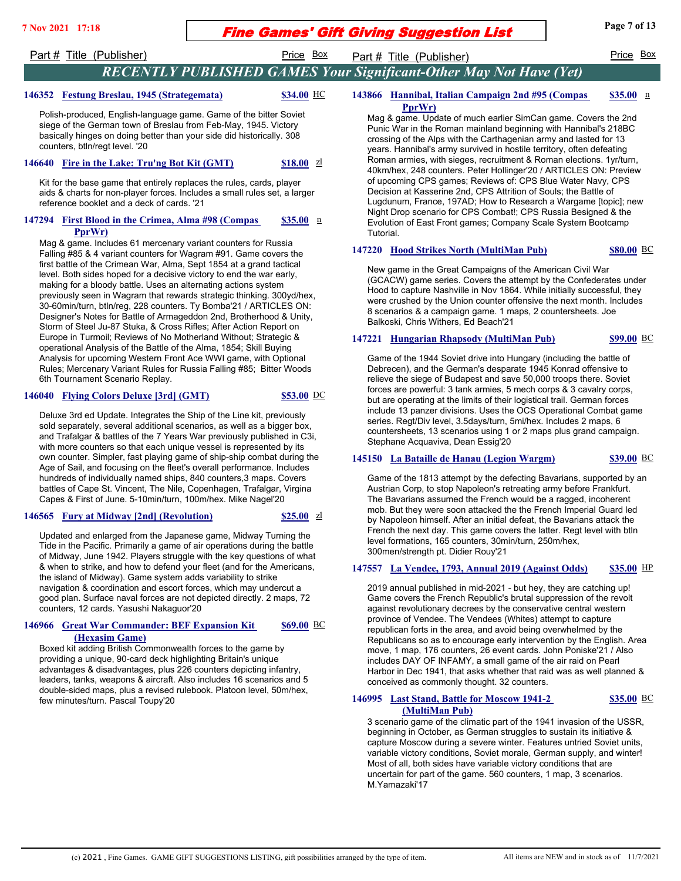## **Fine Games' Gift Giving Suggestion List** Page 7 of 13

# Part # Title (Publisher) Price Box Part # Title (Publisher) Price Box Price Box

## *RECENTLY PUBLISHED GAMES Your Significant-Other May Not Have (Yet)*

### **146352 Festung Breslau, 1945 (Strategemata) \$34.00** HC

Polish-produced, English-language game. Game of the bitter Soviet siege of the German town of Breslau from Feb-May, 1945. Victory basically hinges on doing better than your side did historically. 308 counters, btln/regt level. '20

### **146640 Fire in the Lake: Tru'ng Bot Kit (GMT) \$18.00** zl

Kit for the base game that entirely replaces the rules, cards, player aids & charts for non-player forces. Includes a small rules set, a larger reference booklet and a deck of cards. '21

#### **147294 First Blood in the Crimea, Alma #98 (Compas PprWr) \$35.00**

Mag & game. Includes 61 mercenary variant counters for Russia Falling #85 & 4 variant counters for Wagram #91. Game covers the first battle of the Crimean War, Alma, Sept 1854 at a grand tactical level. Both sides hoped for a decisive victory to end the war early, making for a bloody battle. Uses an alternating actions system previously seen in Wagram that rewards strategic thinking. 300yd/hex, 30-60min/turn, btln/reg, 228 counters. Ty Bomba'21 / ARTICLES ON: Designer's Notes for Battle of Armageddon 2nd, Brotherhood & Unity, Storm of Steel Ju-87 Stuka, & Cross Rifles; After Action Report on Europe in Turmoil; Reviews of No Motherland Without; Strategic & operational Analysis of the Battle of the Alma, 1854; Skill Buying Analysis for upcoming Western Front Ace WWI game, with Optional Rules; Mercenary Variant Rules for Russia Falling #85; Bitter Woods 6th Tournament Scenario Replay.

### **146040 Flying Colors Deluxe [3rd] (GMT) \$53.00** DC

Deluxe 3rd ed Update. Integrates the Ship of the Line kit, previously sold separately, several additional scenarios, as well as a bigger box, and Trafalgar & battles of the 7 Years War previously published in C3i, with more counters so that each unique vessel is represented by its own counter. Simpler, fast playing game of ship-ship combat during the Age of Sail, and focusing on the fleet's overall performance. Includes hundreds of individually named ships, 840 counters,3 maps. Covers battles of Cape St. Vincent, The Nile, Copenhagen, Trafalgar, Virgina Capes & First of June. 5-10min/turn, 100m/hex. Mike Nagel'20

### **146565 Fury at Midway [2nd] (Revolution) \$25.00 z**

Updated and enlarged from the Japanese game, Midway Turning the Tide in the Pacific. Primarily a game of air operations during the battle of Midway, June 1942. Players struggle with the key questions of what & when to strike, and how to defend your fleet (and for the Americans, the island of Midway). Game system adds variability to strike navigation & coordination and escort forces, which may undercut a good plan. Surface naval forces are not depicted directly. 2 maps, 72 counters, 12 cards. Yasushi Nakaguor'20

#### **146966 Great War Commander: BEF Expansion Kit (Hexasim Game) \$69.00**

Boxed kit adding British Commonwealth forces to the game by providing a unique, 90-card deck highlighting Britain's unique advantages & disadvantages, plus 226 counters depicting infantry, leaders, tanks, weapons & aircraft. Also includes 16 scenarios and 5 double-sided maps, plus a revised rulebook. Platoon level, 50m/hex, few minutes/turn. Pascal Toupy'20

#### 143866 **Hannibal, Italian Campaign 2nd #95 (Compas PprWr) \$35.00**

Mag & game. Update of much earlier SimCan game. Covers the 2nd Punic War in the Roman mainland beginning with Hannibal's 218BC crossing of the Alps with the Carthagenian army and lasted for 13 years. Hannibal's army survived in hostile territory, often defeating Roman armies, with sieges, recruitment & Roman elections. 1yr/turn, 40km/hex, 248 counters. Peter Hollinger'20 / ARTICLES ON: Preview of upcoming CPS games; Reviews of: CPS Blue Water Navy, CPS Decision at Kasserine 2nd, CPS Attrition of Souls; the Battle of Lugdunum, France, 197AD; How to Research a Wargame [topic]; new Night Drop scenario for CPS Combat!; CPS Russia Besigned & the Evolution of East Front games; Company Scale System Bootcamp Tutorial.

### **147220 Hood Strikes North (MultiMan Pub) \$80.00** BC

New game in the Great Campaigns of the American Civil War (GCACW) game series. Covers the attempt by the Confederates under Hood to capture Nashville in Nov 1864. While initially successful, they were crushed by the Union counter offensive the next month. Includes 8 scenarios & a campaign game. 1 maps, 2 countersheets. Joe Balkoski, Chris Withers, Ed Beach'21

## **147221 Hungarian Rhapsody (MultiMan Pub) \$99.00** BC

Game of the 1944 Soviet drive into Hungary (including the battle of Debrecen), and the German's desparate 1945 Konrad offensive to relieve the siege of Budapest and save 50,000 troops there. Soviet forces are powerful: 3 tank armies, 5 mech corps & 3 cavalry corps, but are operating at the limits of their logistical trail. German forces include 13 panzer divisions. Uses the OCS Operational Combat game series. Regt/Div level, 3.5days/turn, 5mi/hex. Includes 2 maps, 6 countersheets, 13 scenarios using 1 or 2 maps plus grand campaign. Stephane Acquaviva, Dean Essig'20

### **145150 La Bataille de Hanau (Legion Wargm) \$39.00** BC

Game of the 1813 attempt by the defecting Bavarians, supported by an Austrian Corp, to stop Napoleon's retreating army before Frankfurt. The Bavarians assumed the French would be a ragged, incoherent mob. But they were soon attacked the the French Imperial Guard led by Napoleon himself. After an initial defeat, the Bavarians attack the French the next day. This game covers the latter. Regt level with btln level formations, 165 counters, 30min/turn, 250m/hex, 300men/strength pt. Didier Rouy'21

### **147557 La Vendee, 1793, Annual 2019 (Against Odds) \$35.00** HP

2019 annual published in mid-2021 - but hey, they are catching up! Game covers the French Republic's brutal suppression of the revolt against revolutionary decrees by the conservative central western province of Vendee. The Vendees (Whites) attempt to capture republican forts in the area, and avoid being overwhelmed by the Republicans so as to encourage early intervention by the English. Area move, 1 map, 176 counters, 26 event cards. John Poniske'21 / Also includes DAY OF INFAMY, a small game of the air raid on Pearl Harbor in Dec 1941, that asks whether that raid was as well planned & conceived as commonly thought. 32 counters.

#### 146995 **Last Stand, Battle for Moscow 1941-2 (MultiMan Pub) \$35.00**

3 scenario game of the climatic part of the 1941 invasion of the USSR, beginning in October, as German struggles to sustain its initiative & capture Moscow during a severe winter. Features untried Soviet units, variable victory conditions, Soviet morale, German supply, and winter! Most of all, both sides have variable victory conditions that are uncertain for part of the game. 560 counters, 1 map, 3 scenarios. M.Yamazaki'17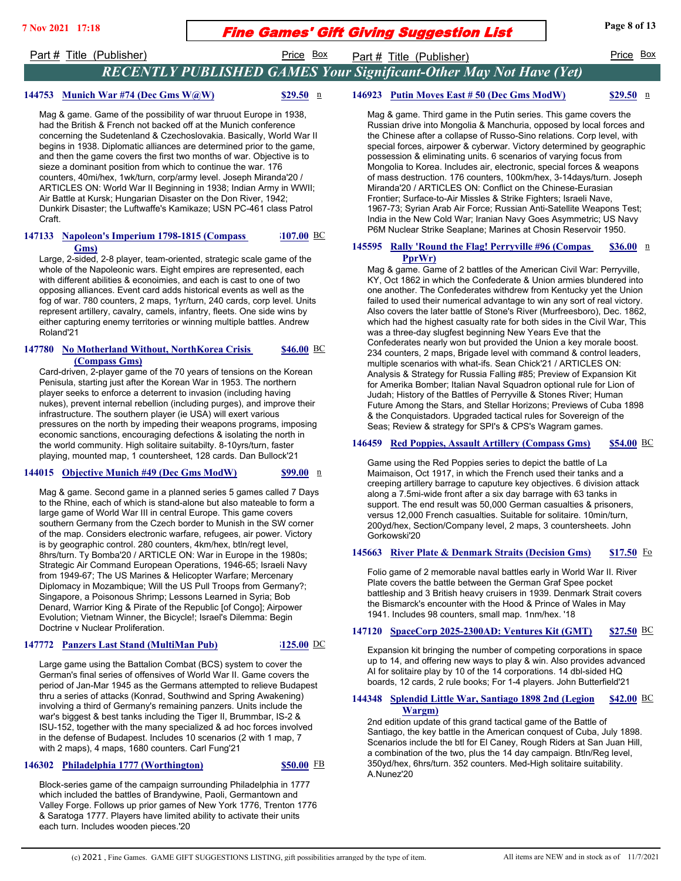# **Fine Games' Gift Giving Suggestion List** Page 8 of 13

Part # Title (Publisher) **Price Box** Part # Title (Publisher) Price Box

## *RECENTLY PUBLISHED GAMES Your Significant-Other May Not Have (Yet)*

### **144753 Munich War #74 (Dec Gms W@W)** \$29.50 n

Mag & game. Game of the possibility of war thruout Europe in 1938, had the British & French not backed off at the Munich conference concerning the Sudetenland & Czechoslovakia. Basically, World War II begins in 1938. Diplomatic alliances are determined prior to the game, and then the game covers the first two months of war. Objective is to sieze a dominant position from which to continue the war. 176 counters, 40mi/hex, 1wk/turn, corp/army level. Joseph Miranda'20 / ARTICLES ON: World War II Beginning in 1938; Indian Army in WWII; Air Battle at Kursk; Hungarian Disaster on the Don River, 1942; Dunkirk Disaster; the Luftwaffe's Kamikaze; USN PC-461 class Patrol Craft.

#### **147133 Napoleon's Imperium 1798-1815 (Compass** BC **Gms) \$107.00**

Large, 2-sided, 2-8 player, team-oriented, strategic scale game of the whole of the Napoleonic wars. Eight empires are represented, each with different abilities & econoimies, and each is cast to one of two opposing alliances. Event card adds historical events as well as the fog of war. 780 counters, 2 maps, 1yr/turn, 240 cards, corp level. Units represent artillery, cavalry, camels, infantry, fleets. One side wins by either capturing enemy territories or winning multiple battles. Andrew Roland'21

#### 147780 **No Motherland Without, NorthKorea Crisis (Compass Gms) \$46.00**

Card-driven, 2-player game of the 70 years of tensions on the Korean Penisula, starting just after the Korean War in 1953. The northern player seeks to enforce a deterrent to invasion (including having nukes), prevent internal rebellion (including purges), and improve their infrastructure. The southern player (ie USA) will exert various pressures on the north by impeding their weapons programs, imposing economic sanctions, encouraging defections & isolating the north in the world community. High solitaire suitabilty. 8-10yrs/turn, faster playing, mounted map, 1 countersheet, 128 cards. Dan Bullock'21

### **144015 Objective Munich #49 (Dec Gms ModW)** \$99.00 n

Mag & game. Second game in a planned series 5 games called 7 Days to the Rhine, each of which is stand-alone but also mateable to form a large game of World War III in central Europe. This game covers southern Germany from the Czech border to Munish in the SW corner of the map. Considers electronic warfare, refugees, air power. Victory is by geographic control. 280 counters, 4km/hex, btln/regt level, 8hrs/turn. Ty Bomba'20 / ARTICLE ON: War in Europe in the 1980s; Strategic Air Command European Operations, 1946-65; Israeli Navy from 1949-67; The US Marines & Helicopter Warfare; Mercenary Diplomacy in Mozambique; Will the US Pull Troops from Germany?; Singapore, a Poisonous Shrimp; Lessons Learned in Syria; Bob Denard, Warrior King & Pirate of the Republic [of Congo]; Airpower Evolution; Vietnam Winner, the Bicycle!; Israel's Dilemma: Begin Doctrine v Nuclear Proliferation.

### **147772 Panzers Last Stand (MultiMan Pub) \$125.00** DC

Large game using the Battalion Combat (BCS) system to cover the German's final series of offensives of World War II. Game covers the period of Jan-Mar 1945 as the Germans attempted to relieve Budapest thru a series of attacks (Konrad, Southwind and Spring Awakening) involving a third of Germany's remaining panzers. Units include the war's biggest & best tanks including the Tiger II, Brummbar, IS-2 & ISU-152, together with the many specialized & ad hoc forces involved in the defense of Budapest. Includes 10 scenarios (2 with 1 map, 7 with 2 maps), 4 maps, 1680 counters. Carl Fung'21

### **146302 Philadelphia 1777 (Worthington) \$50.00** FB

Block-series game of the campaign surrounding Philadelphia in 1777 which included the battles of Brandywine, Paoli, Germantown and Valley Forge. Follows up prior games of New York 1776, Trenton 1776 & Saratoga 1777. Players have limited ability to activate their units each turn. Includes wooden pieces.'20

# **146923 Putin Moves East # 50 (Dec Gms ModW)** \$29.50 **n**

Mag & game. Third game in the Putin series. This game covers the Russian drive into Mongolia & Manchuria, opposed by local forces and the Chinese after a collapse of Russo-Sino relations. Corp level, with special forces, airpower & cyberwar. Victory determined by geographic possession & eliminating units. 6 scenarios of varying focus from Mongolia to Korea. Includes air, electronic, special forces & weapons of mass destruction. 176 counters, 100km/hex, 3-14days/turn. Joseph Miranda'20 / ARTICLES ON: Conflict on the Chinese-Eurasian Frontier; Surface-to-Air Missles & Strike Fighters; Israeli Nave, 1967-73; Syrian Arab Air Force; Russian Anti-Satellite Weapons Test; India in the New Cold War; Iranian Navy Goes Asymmetric; US Navy P6M Nuclear Strike Seaplane; Marines at Chosin Reservoir 1950.

#### 145595 Rally 'Round the Flag! Perryville #96 (Compas **PprWr) \$36.00**

Mag & game. Game of 2 battles of the American Civil War: Perryville, KY, Oct 1862 in which the Confederate & Union armies blundered into one another. The Confederates withdrew from Kentucky yet the Union failed to used their numerical advantage to win any sort of real victory. Also covers the later battle of Stone's River (Murfreesboro), Dec. 1862, which had the highest casualty rate for both sides in the Civil War, This was a three-day slugfest beginning New Years Eve that the Confederates nearly won but provided the Union a key morale boost. 234 counters, 2 maps, Brigade level with command & control leaders, multiple scenarios with what-ifs. Sean Chick'21 / ARTICLES ON: Analysis & Strategy for Russia Falling #85; Preview of Expansion Kit for Amerika Bomber; Italian Naval Squadron optional rule for Lion of Judah; History of the Battles of Perryville & Stones River; Human Future Among the Stars, and Stellar Horizons; Previews of Cuba 1898 & the Conquistadors. Upgraded tactical rules for Sovereign of the Seas; Review & strategy for SPI's & CPS's Wagram games.

### **146459 Red Poppies, Assault Artillery (Compass Gms) \$54.00** BC

Game using the Red Poppies series to depict the battle of La Maimaison, Oct 1917, in which the French used their tanks and a creeping artillery barrage to caputure key objectives. 6 division attack along a 7.5mi-wide front after a six day barrage with 63 tanks in support. The end result was 50,000 German casualties & prisoners, versus 12,000 French casualties. Suitable for solitaire. 10min/turn, 200yd/hex, Section/Company level, 2 maps, 3 countersheets. John Gorkowski'20

### **145663 River Plate & Denmark Straits (Decision Gms) \$17.50** Fo

Folio game of 2 memorable naval battles early in World War II. River Plate covers the battle between the German Graf Spee pocket battleship and 3 British heavy cruisers in 1939. Denmark Strait covers the Bismarck's encounter with the Hood & Prince of Wales in May 1941. Includes 98 counters, small map. 1nm/hex. '18

### **147120 SpaceCorp 2025-2300AD: Ventures Kit (GMT) \$27.50** BC

Expansion kit bringing the number of competing corporations in space up to 14, and offering new ways to play & win. Also provides advanced AI for solitaire play by 10 of the 14 corporations. 14 dbl-sided HQ boards, 12 cards, 2 rule books; For 1-4 players. John Butterfield'21

#### 144348 **Splendid Little War, Santiago 1898 2nd (Legion Wargm) \$42.00**

2nd edition update of this grand tactical game of the Battle of Santiago, the key battle in the American conquest of Cuba, July 1898. Scenarios include the btl for El Caney, Rough Riders at San Juan Hill, a combination of the two, plus the 14 day campaign. Btln/Reg level, 350yd/hex, 6hrs/turn. 352 counters. Med-High solitaire suitability. A.Nunez'20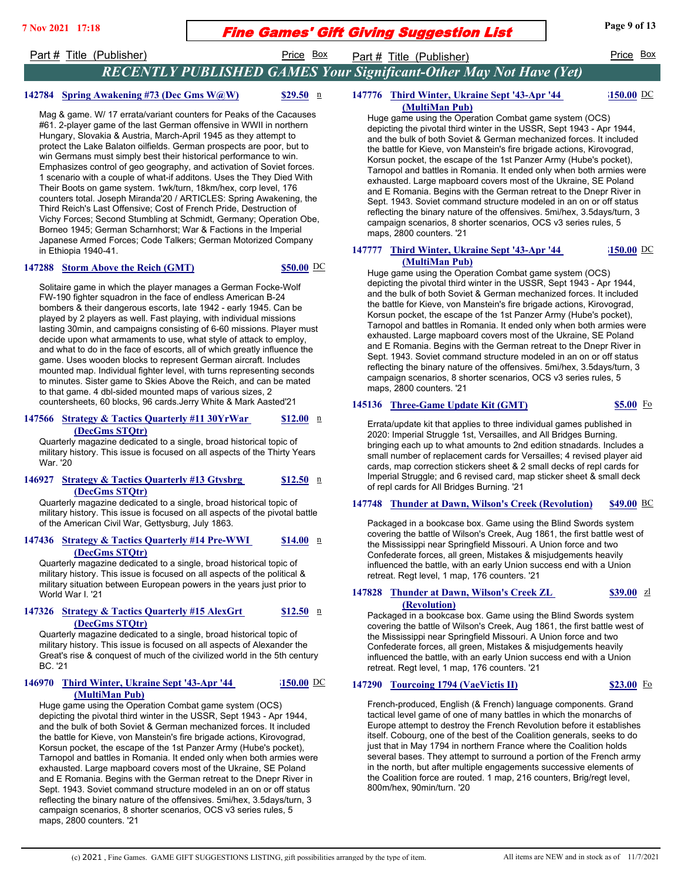## **Fine Games' Gift Giving Suggestion List** Page 9 of 13

Part # Title (Publisher) **Price Box** Part # Title (Publisher) Price Box

## *RECENTLY PUBLISHED GAMES Your Significant-Other May Not Have (Yet)*

## **142784 Spring Awakening #73 (Dec Gms W@W)** \$29.50 n

Mag & game. W/ 17 errata/variant counters for Peaks of the Cacauses #61. 2-player game of the last German offensive in WWII in northern Hungary, Slovakia & Austria, March-April 1945 as they attempt to protect the Lake Balaton oilfields. German prospects are poor, but to win Germans must simply best their historical performance to win. Emphasizes control of geo geography, and activation of Soviet forces. 1 scenario with a couple of what-if additons. Uses the They Died With Their Boots on game system. 1wk/turn, 18km/hex, corp level, 176 counters total. Joseph Miranda'20 / ARTICLES: Spring Awakening, the Third Reich's Last Offensive; Cost of French Pride, Destruction of Vichy Forces; Second Stumbling at Schmidt, Germany; Operation Obe, Borneo 1945; German Scharnhorst; War & Factions in the Imperial Japanese Armed Forces; Code Talkers; German Motorized Company in Ethiopia 1940-41.

### **147288 Storm Above the Reich (GMT) \$50.00** DC

Solitaire game in which the player manages a German Focke-Wolf FW-190 fighter squadron in the face of endless American B-24 bombers & their dangerous escorts, late 1942 - early 1945. Can be played by 2 players as well. Fast playing, with individual missions lasting 30min, and campaigns consisting of 6-60 missions. Player must decide upon what armaments to use, what style of attack to employ, and what to do in the face of escorts, all of which greatly influence the game. Uses wooden blocks to represent German aircraft. Includes mounted map. Individual fighter level, with turns representing seconds to minutes. Sister game to Skies Above the Reich, and can be mated to that game. 4 dbl-sided mounted maps of various sizes, 2 countersheets, 60 blocks, 96 cards.Jerry White & Mark Aasted'21

#### **147566** Strategy & Tactics Quarterly #11 30YrWar **(DecGms STQtr) \$12.00**

Quarterly magazine dedicated to a single, broad historical topic of military history. This issue is focused on all aspects of the Thirty Years War. '20

#### **146927 Strategy & Tactics Quarterly #13 Gtysbrg (DecGms STQtr) \$12.50**

Quarterly magazine dedicated to a single, broad historical topic of military history. This issue is focused on all aspects of the pivotal battle of the American Civil War, Gettysburg, July 1863.

#### **147436 Strategy & Tactics Quarterly #14 Pre-WWI (DecGms STQtr) \$14.00**

Quarterly magazine dedicated to a single, broad historical topic of military history. This issue is focused on all aspects of the political & military situation between European powers in the years just prior to World War I. '21

### **147326 Strategy & Tactics Quarterly #15 AlexGrt (DecGms STQtr)**

**\$12.50**

Quarterly magazine dedicated to a single, broad historical topic of military history. This issue is focused on all aspects of Alexander the Great's rise & conquest of much of the civilized world in the 5th century BC. '21

### **146970 Third Winter, Ukraine Sept '43-Apr '44 (MultiMan Pub)**

**\$150.00**

Huge game using the Operation Combat game system (OCS) depicting the pivotal third winter in the USSR, Sept 1943 - Apr 1944, and the bulk of both Soviet & German mechanized forces. It included the battle for Kieve, von Manstein's fire brigade actions, Kirovograd, Korsun pocket, the escape of the 1st Panzer Army (Hube's pocket), Tarnopol and battles in Romania. It ended only when both armies were exhausted. Large mapboard covers most of the Ukraine, SE Poland and E Romania. Begins with the German retreat to the Dnepr River in Sept. 1943. Soviet command structure modeled in an on or off status reflecting the binary nature of the offensives. 5mi/hex, 3.5days/turn, 3 campaign scenarios, 8 shorter scenarios, OCS v3 series rules, 5 maps, 2800 counters. '21

#### **147776 Third Winter, Ukraine Sept '43-Apr '44 (MultiMan Pub) \$150.00**

Huge game using the Operation Combat game system (OCS) depicting the pivotal third winter in the USSR, Sept 1943 - Apr 1944, and the bulk of both Soviet & German mechanized forces. It included the battle for Kieve, von Manstein's fire brigade actions, Kirovograd, Korsun pocket, the escape of the 1st Panzer Army (Hube's pocket), Tarnopol and battles in Romania. It ended only when both armies were exhausted. Large mapboard covers most of the Ukraine, SE Poland and E Romania. Begins with the German retreat to the Dnepr River in Sept. 1943. Soviet command structure modeled in an on or off status reflecting the binary nature of the offensives. 5mi/hex, 3.5days/turn, 3 campaign scenarios, 8 shorter scenarios, OCS v3 series rules, 5 maps, 2800 counters. '21

#### **147777 Third Winter, Ukraine Sept '43-Apr '44 (MultiMan Pub) \$150.00**

Huge game using the Operation Combat game system (OCS) depicting the pivotal third winter in the USSR, Sept 1943 - Apr 1944, and the bulk of both Soviet & German mechanized forces. It included the battle for Kieve, von Manstein's fire brigade actions, Kirovograd, Korsun pocket, the escape of the 1st Panzer Army (Hube's pocket), Tarnopol and battles in Romania. It ended only when both armies were exhausted. Large mapboard covers most of the Ukraine, SE Poland and E Romania. Begins with the German retreat to the Dnepr River in Sept. 1943. Soviet command structure modeled in an on or off status reflecting the binary nature of the offensives. 5mi/hex, 3.5days/turn, 3 campaign scenarios, 8 shorter scenarios, OCS v3 series rules, 5 maps, 2800 counters. '21

### **145136 Three-Game Update Kit (GMT) \$5.00** Fo

Errata/update kit that applies to three individual games published in 2020: Imperial Struggle 1st, Versailles, and All Bridges Burning. bringing each up to what amounts to 2nd edition stnadards. Includes a small number of replacement cards for Versailles; 4 revised player aid cards, map correction stickers sheet & 2 small decks of repl cards for Imperial Struggle; and 6 revised card, map sticker sheet & small deck of repl cards for All Bridges Burning. '21

### **147748 Thunder at Dawn, Wilson's Creek (Revolution) \$49.00** BC

Packaged in a bookcase box. Game using the Blind Swords system covering the battle of Wilson's Creek, Aug 1861, the first battle west of the Mississippi near Springfield Missouri. A Union force and two Confederate forces, all green, Mistakes & misjudgements heavily influenced the battle, with an early Union success end with a Union retreat. Regt level, 1 map, 176 counters. '21

#### 147828 **Thunder at Dawn, Wilson's Creek ZL \$39.00**

**(Revolution)**

Packaged in a bookcase box. Game using the Blind Swords system covering the battle of Wilson's Creek, Aug 1861, the first battle west of the Mississippi near Springfield Missouri. A Union force and two Confederate forces, all green, Mistakes & misjudgements heavily influenced the battle, with an early Union success end with a Union retreat. Regt level, 1 map, 176 counters. '21

### **147290 Tourcoing 1794 (VaeVictis II) \$23.00** Fo

French-produced, English (& French) language components. Grand tactical level game of one of many battles in which the monarchs of Europe attempt to destroy the French Revolution before it establishes itself. Cobourg, one of the best of the Coalition generals, seeks to do just that in May 1794 in northern France where the Coalition holds several bases. They attempt to surround a portion of the French army in the north, but after multiple engagements successive elements of the Coalition force are routed. 1 map, 216 counters, Brig/regt level, 800m/hex, 90min/turn. '20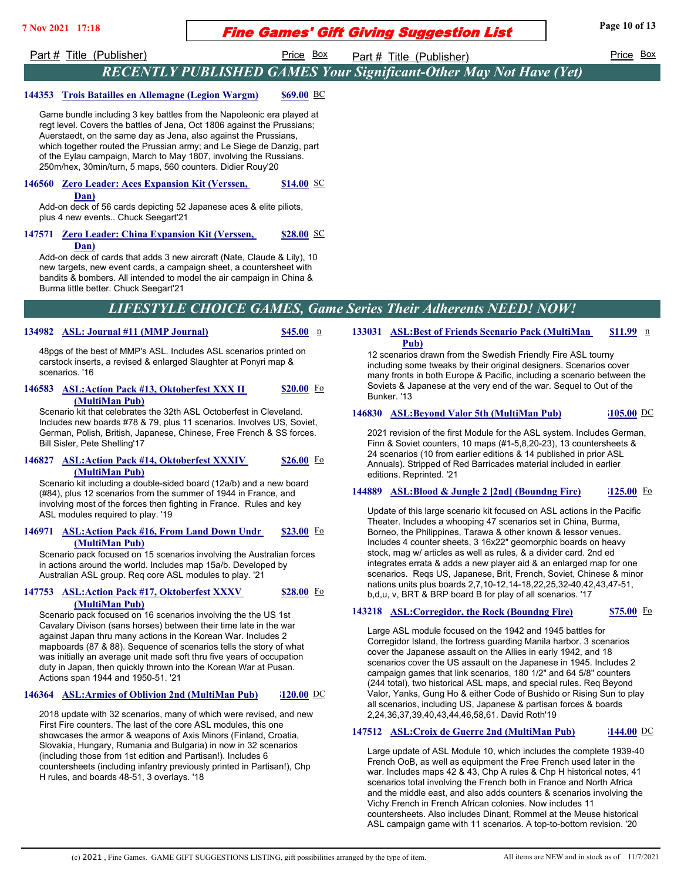# **Fine Games' Gift Giving Suggestion List** Page 10 of 13

Part # Title (Publisher) Price Box Part # Title (Publisher) Price Box Price Box

## *RECENTLY PUBLISHED GAMES Your Significant-Other May Not Have (Yet)*

### **144353 Trois Batailles en Allemagne (Legion Wargm) \$69.00** BC

Game bundle including 3 key battles from the Napoleonic era played at regt level. Covers the battles of Jena, Oct 1806 against the Prussians; Auerstaedt, on the same day as Jena, also against the Prussians, which together routed the Prussian army; and Le Siege de Danzig, part of the Eylau campaign, March to May 1807, involving the Russians. 250m/hex, 30min/turn, 5 maps, 560 counters. Didier Rouy'20

#### 146560 **Zero Leader: Aces Expansion Kit (Verssen, Dan) \$14.00**

Add-on deck of 56 cards depicting 52 Japanese aces & elite piliots, plus 4 new events.. Chuck Seegart'21

#### **147571 Zero Leader: China Expansion Kit (Verssen, Dan) \$28.00**

Add-on deck of cards that adds 3 new aircraft (Nate, Claude & Lily), 10 new targets, new event cards, a campaign sheet, a countersheet with bandits & bombers. All intended to model the air campaign in China & Burma little better. Chuck Seegart'21

## *LIFESTYLE CHOICE GAMES, Game Series Their Adherents NEED! NOW!*

### **134982 ASL: Journal #11 (MMP Journal)** \$45.00 **n**

48pgs of the best of MMP's ASL. Includes ASL scenarios printed on carstock inserts, a revised & enlarged Slaughter at Ponyri map & scenarios. '16

#### **146583 ASL: Action Pack #13, Oktoberfest XXX II (MultiMan Pub) \$20.00**

Scenario kit that celebrates the 32th ASL Octoberfest in Cleveland. Includes new boards #78 & 79, plus 11 scenarios. Involves US, Soviet, German, Polish, British, Japanese, Chinese, Free French & SS forces. Bill Sisler, Pete Shelling'17

#### **146827 ASL: Action Pack #14, Oktoberfest XXXIV (MultiMan Pub) \$26.00**

Scenario kit including a double-sided board (12a/b) and a new board (#84), plus 12 scenarios from the summer of 1944 in France, and involving most of the forces then fighting in France. Rules and key ASL modules required to play. '19

#### **146971 ASL: Action Pack #16, From Land Down Undr (MultiMan Pub) \$23.00**

Scenario pack focused on 15 scenarios involving the Australian forces in actions around the world. Includes map 15a/b. Developed by Australian ASL group. Req core ASL modules to play. '21

### **147753 ASL: Action Pack #17, Oktoberfest XXXV (MultiMan Pub)**

Scenario pack focused on 16 scenarios involving the the US 1st Cavalary Divison (sans horses) between their time late in the war against Japan thru many actions in the Korean War. Includes 2 mapboards (87 & 88). Sequence of scenarios tells the story of what was initially an average unit made soft thru five years of occupation duty in Japan, then quickly thrown into the Korean War at Pusan. Actions span 1944 and 1950-51. '21

### **146364 ASL:Armies of Oblivion 2nd (MultiMan Pub) \$120.00** DC

**\$28.00**

2018 update with 32 scenarios, many of which were revised, and new First Fire counters. The last of the core ASL modules, this one showcases the armor & weapons of Axis Minors (Finland, Croatia, Slovakia, Hungary, Rumania and Bulgaria) in now in 32 scenarios (including those from 1st edition and Partisan!). Includes 6 countersheets (including infantry previously printed in Partisan!), Chp H rules, and boards 48-51, 3 overlays. '18

#### **133031 ASL: Best of Friends Scenario Pack (MultiMan Pub) \$11.99**

12 scenarios drawn from the Swedish Friendly Fire ASL tourny including some tweaks by their original designers. Scenarios cover many fronts in both Europe & Pacific, including a scenario between the Soviets & Japanese at the very end of the war. Sequel to Out of the Bunker. '13

### **146830 ASL:Beyond Valor 5th (MultiMan Pub) \$105.00** DC

2021 revision of the first Module for the ASL system. Includes German, Finn & Soviet counters, 10 maps (#1-5,8,20-23), 13 countersheets & 24 scenarios (10 from earlier editions & 14 published in prior ASL Annuals). Stripped of Red Barricades material included in earlier editions. Reprinted. '21

### **144889 ASL:Blood & Jungle 2 [2nd] (Boundng Fire) \$125.00** Fo

Update of this large scenario kit focused on ASL actions in the Pacific Theater. Includes a whooping 47 scenarios set in China, Burma, Borneo, the Philippines, Tarawa & other known & lessor venues. Includes 4 counter sheets, 3 16x22" geomorphic boards on heavy stock, mag w/ articles as well as rules, & a divider card. 2nd ed integrates errata & adds a new player aid & an enlarged map for one scenarios. Reqs US, Japanese, Brit, French, Soviet, Chinese & minor nations units plus boards 2,7,10-12,14-18,22,25,32-40,42,43,47-51, b,d,u, v, BRT & BRP board B for play of all scenarios. '17

### **143218 ASL:Corregidor, the Rock (Boundng Fire) \$75.00** Fo

Large ASL module focused on the 1942 and 1945 battles for Corregidor Island, the fortress guarding Manila harbor. 3 scenarios cover the Japanese assault on the Allies in early 1942, and 18 scenarios cover the US assault on the Japanese in 1945. Includes 2 campaign games that link scenarios, 180 1/2" and 64 5/8" counters (244 total), two historical ASL maps, and special rules. Req Beyond Valor, Yanks, Gung Ho & either Code of Bushido or Rising Sun to play all scenarios, including US, Japanese & partisan forces & boards 2,24,36,37,39,40,43,44,46,58,61. David Roth'19

### **147512 ASL:Croix de Guerre 2nd (MultiMan Pub) \$144.00** DC

Large update of ASL Module 10, which includes the complete 1939-40 French OoB, as well as equipment the Free French used later in the war. Includes maps 42 & 43, Chp A rules & Chp H historical notes, 41 scenarios total involving the French both in France and North Africa and the middle east, and also adds counters & scenarios involving the Vichy French in French African colonies. Now includes 11 countersheets. Also includes Dinant, Rommel at the Meuse historical ASL campaign game with 11 scenarios. A top-to-bottom revision. '20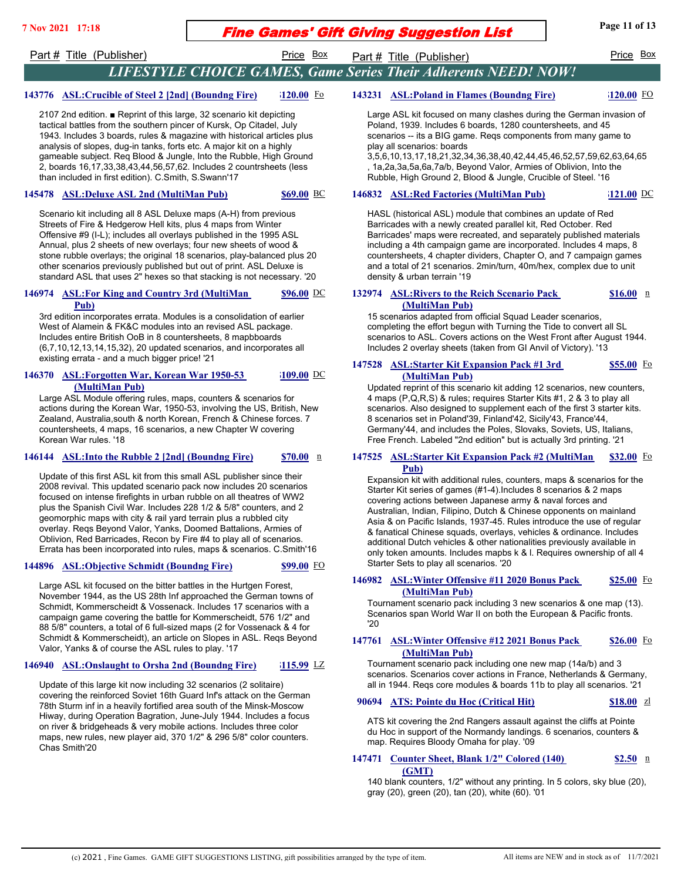# **Fine Games' Gift Giving Suggestion List** Page 11 of 13

### Part # Title (Publisher) **Price Box** Part # Title (Publisher) Price Box

## *LIFESTYLE CHOICE GAMES, Game Series Their Adherents NEED! NOW!*

## **143776 ASL:Crucible of Steel 2 [2nd] (Boundng Fire) \$120.00** Fo

2107 2nd edition. ■ Reprint of this large, 32 scenario kit depicting tactical battles from the southern pincer of Kursk, Op Citadel, July 1943. Includes 3 boards, rules & magazine with historical articles plus analysis of slopes, dug-in tanks, forts etc. A major kit on a highly gameable subject. Req Blood & Jungle, Into the Rubble, High Ground 2, boards 16,17,33,38,43,44,56,57,62. Includes 2 countrsheets (less than included in first edition). C.Smith, S.Swann'17

### **145478 ASL:Deluxe ASL 2nd (MultiMan Pub) \$69.00** BC

Scenario kit including all 8 ASL Deluxe maps (A-H) from previous Streets of Fire & Hedgerow Hell kits, plus 4 maps from Winter Offensive #9 (I-L); includes all overlays published in the 1995 ASL Annual, plus 2 sheets of new overlays; four new sheets of wood & stone rubble overlays; the original 18 scenarios, play-balanced plus 20 other scenarios previously published but out of print. ASL Deluxe is standard ASL that uses 2" hexes so that stacking is not necessary. '20

#### **146974 ASL:For King and Country 3rd (MultiMan Pub) \$96.00**

3rd edition incorporates errata. Modules is a consolidation of earlier West of Alamein & FK&C modules into an revised ASL package. Includes entire British OoB in 8 countersheets, 8 mapbboards (6,7,10,12,13,14,15,32), 20 updated scenarios, and incorporates all existing errata - and a much bigger price! '21

#### **146370 ASL: Forgotten War, Korean War 1950-53 (MultiMan Pub) \$109.00**

Large ASL Module offering rules, maps, counters & scenarios for actions during the Korean War, 1950-53, involving the US, British, New Zealand, Australia,south & north Korean, French & Chinese forces. 7 countersheets, 4 maps, 16 scenarios, a new Chapter W covering Korean War rules. '18

### **146144 ASL:Into the Rubble 2 [2nd] (Boundng Fire) \$70.00** n

Update of this first ASL kit from this small ASL publisher since their 2008 revival. This updated scenario pack now includes 20 scenarios focused on intense firefights in urban rubble on all theatres of WW2 plus the Spanish Civil War. Includes 228 1/2 & 5/8" counters, and 2 geomorphic maps with city & rail yard terrain plus a rubbled city overlay. Reqs Beyond Valor, Yanks, Doomed Battalions, Armies of Oblivion, Red Barricades, Recon by Fire #4 to play all of scenarios. Errata has been incorporated into rules, maps & scenarios. C.Smith'16

### **144896 ASL:Objective Schmidt (Boundng Fire) \$99.00** FO

Large ASL kit focused on the bitter battles in the Hurtgen Forest, November 1944, as the US 28th Inf approached the German towns of Schmidt, Kommerscheidt & Vossenack. Includes 17 scenarios with a campaign game covering the battle for Kommerscheidt, 576 1/2" and 88 5/8" counters, a total of 6 full-sized maps (2 for Vossenack & 4 for Schmidt & Kommerscheidt), an article on Slopes in ASL. Reqs Beyond Valor, Yanks & of course the ASL rules to play. '17

### **146940 ASL:Onslaught to Orsha 2nd (Boundng Fire) \$115.99** LZ

Update of this large kit now including 32 scenarios (2 solitaire) covering the reinforced Soviet 16th Guard Inf's attack on the German 78th Sturm inf in a heavily fortified area south of the Minsk-Moscow Hiway, during Operation Bagration, June-July 1944. Includes a focus on river & bridgeheads & very mobile actions. Includes three color maps, new rules, new player aid, 370 1/2" & 296 5/8" color counters. Chas Smith'20

## **143231 ASL:Poland in Flames (Boundng Fire) \$120.00** FO

Large ASL kit focused on many clashes during the German invasion of Poland, 1939. Includes 6 boards, 1280 countersheets, and 45 scenarios -- its a BIG game. Reqs components from many game to play all scenarios: boards

3,5,6,10,13,17,18,21,32,34,36,38,40,42,44,45,46,52,57,59,62,63,64,65 , 1a,2a,3a,5a,6a,7a/b, Beyond Valor, Armies of Oblivion, Into the Rubble, High Ground 2, Blood & Jungle, Crucible of Steel. '16

### **146832 ASL:Red Factories (MultiMan Pub) \$121.00** DC

HASL (historical ASL) module that combines an update of Red Barricades with a newly created parallel kit, Red October. Red Barricades' maps were recreated, and separately published materials including a 4th campaign game are incorporated. Includes 4 maps, 8 countersheets, 4 chapter dividers, Chapter O, and 7 campaign games and a total of 21 scenarios. 2min/turn, 40m/hex, complex due to unit density & urban terrain '19

#### 132974 **ASL: Rivers to the Reich Scenario Pack (MultiMan Pub) \$16.00**

15 scenarios adapted from official Squad Leader scenarios, completing the effort begun with Turning the Tide to convert all SL scenarios to ASL. Covers actions on the West Front after August 1944. Includes 2 overlay sheets (taken from GI Anvil of Victory). '13

#### **147528 ASL:Starter Kit Expansion Pack #1 3rd (MultiMan Pub) \$55.00**

Updated reprint of this scenario kit adding 12 scenarios, new counters, 4 maps (P,Q,R,S) & rules; requires Starter Kits #1, 2 & 3 to play all scenarios. Also designed to supplement each of the first 3 starter kits. 8 scenarios set in Poland'39, Finland'42, Sicily'43, France'44, Germany'44, and includes the Poles, Slovaks, Soviets, US, Italians, Free French. Labeled "2nd edition" but is actually 3rd printing. '21

#### **147525 ASL:Starter Kit Expansion Pack #2 (MultiMan Pub) \$32.00**

Expansion kit with additional rules, counters, maps & scenarios for the Starter Kit series of games (#1-4).Includes 8 scenarios & 2 maps covering actions between Japanese army & naval forces and Australian, Indian, Filipino, Dutch & Chinese opponents on mainland Asia & on Pacific Islands, 1937-45. Rules introduce the use of regular & fanatical Chinese squads, overlays, vehicles & ordinance. Includes additional Dutch vehicles & other nationalities previously available in only token amounts. Includes mapbs k & l. Requires ownership of all 4 Starter Sets to play all scenarios. '20

#### **146982 ASL: Winter Offensive #11 2020 Bonus Pack (MultiMan Pub) \$25.00**

Tournament scenario pack including 3 new scenarios & one map (13). Scenarios span World War II on both the European & Pacific fronts. '20

#### **147761 ASL: Winter Offensive #12 2021 Bonus Pack (MultiMan Pub) \$26.00**

Tournament scenario pack including one new map (14a/b) and 3 scenarios. Scenarios cover actions in France, Netherlands & Germany, all in 1944. Reqs core modules & boards 11b to play all scenarios. '21

### **90694 ATS: Pointe du Hoc (Critical Hit) \$18.00** zl

ATS kit covering the 2nd Rangers assault against the cliffs at Pointe du Hoc in support of the Normandy landings. 6 scenarios, counters & map. Requires Bloody Omaha for play. '09

#### **147471 Counter Sheet, Blank 1/2" Colored (140)** n **(GMT) \$2.50**

140 blank counters, 1/2" without any printing. In 5 colors, sky blue (20), gray (20), green (20), tan (20), white (60). '01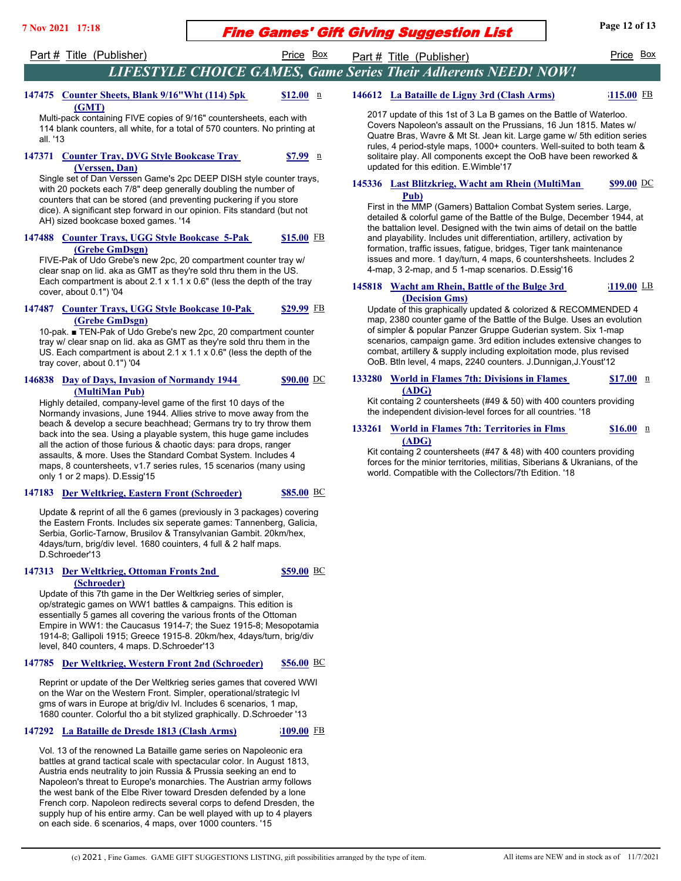## Fine Games' Gift Giving Suggestion List **7 Nov 2021 17:18 Page 12 of 13**

## Part # Title (Publisher) Price Box Part # Title (Publisher) Price Box Price Box

## *LIFESTYLE CHOICE GAMES, Game Series Their Adherents NEED! NOW!*

#### **147475 Counter Sheets, Blank 9/16"Wht (114) 5pk (GMT) \$12.00**

Multi-pack containing FIVE copies of 9/16" countersheets, each with 114 blank counters, all white, for a total of 570 counters. No printing at all. '13

#### **147371 Counter Tray, DVG Style Bookcase Tray (Verssen, Dan) \$7.99**

Single set of Dan Verssen Game's 2pc DEEP DISH style counter trays, with 20 pockets each 7/8" deep generally doubling the number of counters that can be stored (and preventing puckering if you store dice). A significant step forward in our opinion. Fits standard (but not AH) sized bookcase boxed games. '14

#### 147488 Counter Trays, UGG Style Bookcase 5-Pak **(Grebe GmDsgn) \$15.00**

FIVE-Pak of Udo Grebe's new 2pc, 20 compartment counter tray w/ clear snap on lid. aka as GMT as they're sold thru them in the US. Each compartment is about 2.1 x 1.1 x 0.6" (less the depth of the tray cover, about 0.1") '04

#### 147487 Counter Trays, UGG Style Bookcase 10-Pak **(Grebe GmDsgn) \$29.99**

10-pak. ■ TEN-Pak of Udo Grebe's new 2pc, 20 compartment counter tray w/ clear snap on lid. aka as GMT as they're sold thru them in the US. Each compartment is about 2.1 x 1.1 x 0.6" (less the depth of the tray cover, about 0.1") '04

### **146838 Day of Days, Invasion of Normandy 1944 (MultiMan Pub)**

Highly detailed, company-level game of the first 10 days of the Normandy invasions, June 1944. Allies strive to move away from the beach & develop a secure beachhead; Germans try to try throw them back into the sea. Using a playable system, this huge game includes all the action of those furious & chaotic days: para drops, ranger assaults, & more. Uses the Standard Combat System. Includes 4 maps, 8 countersheets, v1.7 series rules, 15 scenarios (many using only 1 or 2 maps). D.Essig'15

### **147183 Der Weltkrieg, Eastern Front (Schroeder) \$85.00** BC

**\$59.00**

**\$90.00**

Update & reprint of all the 6 games (previously in 3 packages) covering the Eastern Fronts. Includes six seperate games: Tannenberg, Galicia, Serbia, Gorlic-Tarnow, Brusilov & Transylvanian Gambit. 20km/hex, 4days/turn, brig/div level. 1680 couinters, 4 full & 2 half maps. D.Schroeder'13

### **147313 Der Weltkrieg, Ottoman Fronts 2nd (Schroeder)**

Update of this 7th game in the Der Weltkrieg series of simpler, op/strategic games on WW1 battles & campaigns. This edition is essentially 5 games all covering the various fronts of the Ottoman Empire in WW1: the Caucasus 1914-7; the Suez 1915-8; Mesopotamia 1914-8; Gallipoli 1915; Greece 1915-8. 20km/hex, 4days/turn, brig/div level, 840 counters, 4 maps. D.Schroeder'13

### **147785 Der Weltkrieg, Western Front 2nd (Schroeder) \$56.00** BC

Reprint or update of the Der Weltkrieg series games that covered WWI on the War on the Western Front. Simpler, operational/strategic lvl gms of wars in Europe at brig/div lvl. Includes 6 scenarios, 1 map, 1680 counter. Colorful tho a bit stylized graphically. D.Schroeder '13

### **147292 La Bataille de Dresde 1813 (Clash Arms) \$109.00** FB

Vol. 13 of the renowned La Bataille game series on Napoleonic era battles at grand tactical scale with spectacular color. In August 1813, Austria ends neutrality to join Russia & Prussia seeking an end to Napoleon's threat to Europe's monarchies. The Austrian army follows the west bank of the Elbe River toward Dresden defended by a lone French corp. Napoleon redirects several corps to defend Dresden, the supply hup of his entire army. Can be well played with up to 4 players on each side. 6 scenarios, 4 maps, over 1000 counters. '15

 **146612 La Bataille de Ligny 3rd (Clash Arms) \$115.00** FB

2017 update of this 1st of 3 La B games on the Battle of Waterloo. Covers Napoleon's assault on the Prussians, 16 Jun 1815. Mates w/ Quatre Bras, Wavre & Mt St. Jean kit. Large game w/ 5th edition series rules, 4 period-style maps, 1000+ counters. Well-suited to both team & solitaire play. All components except the OoB have been reworked & updated for this edition. E.Wimble'17

#### 145336 **Last Blitzkrieg, Wacht am Rhein (MultiMan Pub) \$99.00**

First in the MMP (Gamers) Battalion Combat System series. Large, detailed & colorful game of the Battle of the Bulge, December 1944, at the battalion level. Designed with the twin aims of detail on the battle and playability. Includes unit differentiation, artillery, activation by formation, traffic issues, fatigue, bridges, Tiger tank maintenance issues and more. 1 day/turn, 4 maps, 6 countershsheets. Includes 2 4-map, 3 2-map, and 5 1-map scenarios. D.Essig'16

#### 145818 Wacht am Rhein, Battle of the Bulge 3rd **(Decision Gms) \$119.00**

Update of this graphically updated & colorized & RECOMMENDED 4 map, 2380 counter game of the Battle of the Bulge. Uses an evolution of simpler & popular Panzer Gruppe Guderian system. Six 1-map scenarios, campaign game. 3rd edition includes extensive changes to combat, artillery & supply including exploitation mode, plus revised OoB. Btln level, 4 maps, 2240 counters. J.Dunnigan,J.Youst'12

#### **133280 World in Flames 7th: Divisions in Flames (ADG) \$17.00**

Kit containg 2 countersheets (#49 & 50) with 400 counters providing the independent division-level forces for all countries. '18

#### **133261 World in Flames 7th: Territories in Flms (ADG) \$16.00**

Kit containg 2 countersheets (#47 & 48) with 400 counters providing forces for the minior territories, militias, Siberians & Ukranians, of the world. Compatible with the Collectors/7th Edition. '18